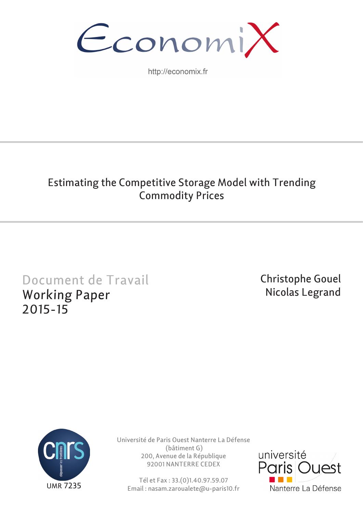

http://economix.fr

## Estimating the Competitive Storage Model with Trending Commodity Prices

# Document de Travail Working Paper 2015-15

Christophe Gouel Nicolas Legrand



Université de Paris Ouest Nanterre La Défense (bâtiment G) 200, Avenue de la République 92001 NANTERRE CEDEX

Tél et Fax : 33.(0)1.40.97.59.07 Email : nasam.zaroualete@u-paris10.fr

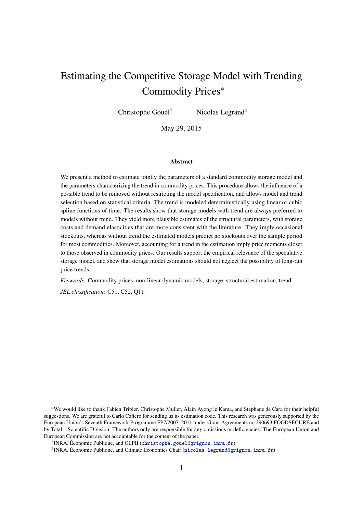## Estimating the Competitive Storage Model with Trending Commodity Prices<sup>∗</sup>

Christophe Gouel† Nicolas Legrand‡

May 29, 2015

#### Abstract

We present a method to estimate jointly the parameters of a standard commodity storage model and the parameters characterizing the trend in commodity prices. This procedure allows the influence of a possible trend to be removed without restricting the model specification, and allows model and trend selection based on statistical criteria. The trend is modeled deterministically using linear or cubic spline functions of time. The results show that storage models with trend are always preferred to models without trend. They yield more plausible estimates of the structural parameters, with storage costs and demand elasticities that are more consistent with the literature. They imply occasional stockouts, whereas without trend the estimated models predict no stockouts over the sample period for most commodities. Moreover, accounting for a trend in the estimation imply price moments closer to those observed in commodity prices. Our results support the empirical relevance of the speculative storage model, and show that storage model estimations should not neglect the possibility of long-run price trends.

*Keywords:* Commodity prices, non-linear dynamic models, storage, structural estimation, trend.

*JEL classification:* C51, C52, Q11.

<sup>∗</sup>We would like to thank Fabien Tripier, Christophe Muller, Alain Ayong le Kama, and Stephane de Cara for their helpful suggestions. We are grateful to Carlo Cafiero for sending us its estimation code. This research was generously supported by the European Union's Seventh Framework Programme FP7/2007–2011 under Grant Agreements no 290693 FOODSECURE and by Total – Scientific Division. The authors only are responsible for any omissions or deficiencies. The European Union and European Commission are not accountable for the content of the paper.

<sup>†</sup> INRA, Économie Publique, and CEPII ([christophe.gouel@grignon.inra.fr](mailto:christophe.gouel@grignon.inra.fr))

<sup>‡</sup> INRA, Économie Publique, and Climate Economics Chair ([nicolas.legrand@grignon.inra.fr](mailto:nicolas.legrand@grignon.inra.fr))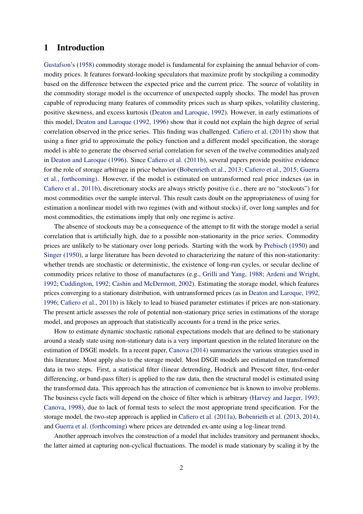#### 1 Introduction

[Gustafson'](#page-22-0)s [\(1958\)](#page-22-0) commodity storage model is fundamental for explaining the annual behavior of commodity prices. It features forward-looking speculators that maximize profit by stockpiling a commodity based on the difference between the expected price and the current price. The source of volatility in the commodity storage model is the occurrence of unexpected supply shocks. The model has proven capable of reproducing many features of commodity prices such as sharp spikes, volatility clustering, positive skewness, and excess kurtosis [\(Deaton and Laroque,](#page-22-1) [1992\)](#page-22-1). However, in early estimations of this model, [Deaton and Laroque](#page-22-1) [\(1992,](#page-22-1) [1996\)](#page-22-2) show that it could not explain the high degree of serial correlation observed in the price series. This finding was challenged. [Cafiero et al.](#page-21-0) [\(2011b\)](#page-21-0) show that using a finer grid to approximate the policy function and a different model specification, the storage model is able to generate the observed serial correlation for seven of the twelve commodities analyzed in [Deaton and Laroque](#page-22-2) [\(1996\)](#page-22-2). Since [Cafiero et al.](#page-21-0) [\(2011b\)](#page-21-0), several papers provide positive evidence for the role of storage arbitrage in price behavior [\(Bobenrieth et al.,](#page-21-1) [2013;](#page-21-1) [Cafiero et al.,](#page-21-2) [2015;](#page-21-2) [Guerra](#page-22-3) [et al.,](#page-22-3) [forthcoming\)](#page-22-3). However, if the model is estimated on untransformed real price indexes (as in [Cafiero et al.,](#page-21-0) [2011b\)](#page-21-0), discretionary stocks are always strictly positive (i.e., there are no "stockouts") for most commodities over the sample interval. This result casts doubt on the appropriateness of using for estimation a nonlinear model with two regimes (with and without stocks) if, over long samples and for most commodities, the estimations imply that only one regime is active.

The absence of stockouts may be a consequence of the attempt to fit with the storage model a serial correlation that is artificially high, due to a possible non-stationarity in the price series. Commodity prices are unlikely to be stationary over long periods. Starting with the work by [Prebisch](#page-22-4) [\(1950\)](#page-22-4) and [Singer](#page-23-0) [\(1950\)](#page-23-0), a large literature has been devoted to characterizing the nature of this non-stationarity: whether trends are stochastic or deterministic, the existence of long-run cycles, or secular decline of commodity prices relative to those of manufactures (e.g., [Grilli and Yang,](#page-22-5) [1988;](#page-22-5) [Ardeni and Wright,](#page-21-3) [1992;](#page-21-3) [Cuddington,](#page-22-6) [1992;](#page-22-6) [Cashin and McDermott,](#page-22-7) [2002\)](#page-22-7). Estimating the storage model, which features prices converging to a stationary distribution, with untransformed prices (as in [Deaton and Laroque,](#page-22-1) [1992,](#page-22-1) [1996;](#page-22-2) [Cafiero et al.,](#page-21-0) [2011b\)](#page-21-0) is likely to lead to biased parameter estimates if prices are non-stationary. The present article assesses the role of potential non-stationary price series in estimations of the storage model, and proposes an approach that statistically accounts for a trend in the price series.

How to estimate dynamic stochastic rational expectations models that are defined to be stationary around a steady state using non-stationary data is a very important question in the related literature on the estimation of DSGE models. In a recent paper, [Canova](#page-22-8) [\(2014\)](#page-22-8) summarizes the various strategies used in this literature. Most apply also to the storage model. Most DSGE models are estimated on transformed data in two steps. First, a statistical filter (linear detrending, Hodrick and Prescott filter, first-order differencing, or band-pass filter) is applied to the raw data, then the structural model is estimated using the transformed data. This approach has the attraction of convenience but is known to involve problems. The business cycle facts will depend on the choice of filter which is arbitrary [\(Harvey and Jaeger,](#page-22-9) [1993;](#page-22-9) [Canova,](#page-22-10) [1998\)](#page-22-10), due to lack of formal tests to select the most appropriate trend specification. For the storage model, the two-step approach is applied in [Cafiero et al.](#page-21-4) [\(2011a\)](#page-21-4), [Bobenrieth et al.](#page-21-1) [\(2013,](#page-21-1) [2014\)](#page-21-5), and [Guerra et al.](#page-22-3) [\(forthcoming\)](#page-22-3) where prices are detrended ex-ante using a log-linear trend.

Another approach involves the construction of a model that includes transitory and permanent shocks, the latter aimed at capturing non-cyclical fluctuations. The model is made stationary by scaling it by the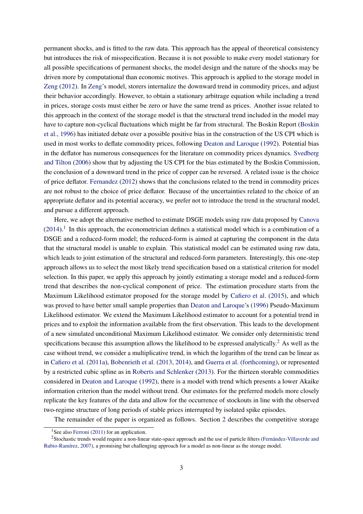permanent shocks, and is fitted to the raw data. This approach has the appeal of theoretical consistency but introduces the risk of misspecification. Because it is not possible to make every model stationary for all possible specifications of permanent shocks, the model design and the nature of the shocks may be driven more by computational than economic motives. This approach is applied to the storage model in [Zeng](#page-23-1) [\(2012\)](#page-23-1). In [Zeng'](#page-23-1)s model, storers internalize the downward trend in commodity prices, and adjust their behavior accordingly. However, to obtain a stationary arbitrage equation while including a trend in prices, storage costs must either be zero or have the same trend as prices. Another issue related to this approach in the context of the storage model is that the structural trend included in the model may have to capture non-cyclical fluctuations which might be far from structural. The Boskin Report [\(Boskin](#page-21-6) [et al.,](#page-21-6) [1996\)](#page-21-6) has initiated debate over a possible positive bias in the construction of the US CPI which is used in most works to deflate commodity prices, following [Deaton and Laroque](#page-22-1) [\(1992\)](#page-22-1). Potential bias in the deflator has numerous consequences for the literature on commodity prices dynamics. [Svedberg](#page-23-2) [and Tilton](#page-23-2) [\(2006\)](#page-23-2) show that by adjusting the US CPI for the bias estimated by the Boskin Commission, the conclusion of a downward trend in the price of copper can be reversed. A related issue is the choice of price deflator. [Fernandez](#page-22-11) [\(2012\)](#page-22-11) shows that the conclusions related to the trend in commodity prices are not robust to the choice of price deflator. Because of the uncertainties related to the choice of an appropriate deflator and its potential accuracy, we prefer not to introduce the trend in the structural model, and pursue a different approach.

Here, we adopt the alternative method to estimate DSGE models using raw data proposed by [Canova](#page-22-8)  $(2014).$  $(2014).$ <sup>[1](#page-3-0)</sup> In this approach, the econometrician defines a statistical model which is a combination of a DSGE and a reduced-form model; the reduced-form is aimed at capturing the component in the data that the structural model is unable to explain. This statistical model can be estimated using raw data, which leads to joint estimation of the structural and reduced-form parameters. Interestingly, this one-step approach allows us to select the most likely trend specification based on a statistical criterion for model selection. In this paper, we apply this approach by jointly estimating a storage model and a reduced-form trend that describes the non-cyclical component of price. The estimation procedure starts from the Maximum Likelihood estimator proposed for the storage model by [Cafiero et al.](#page-21-2) [\(2015\)](#page-21-2), and which was proved to have better small sample properties than [Deaton and Laroque'](#page-22-2)s [\(1996\)](#page-22-2) Pseudo-Maximum Likelihood estimator. We extend the Maximum Likelihood estimator to account for a potential trend in prices and to exploit the information available from the first observation. This leads to the development of a new simulated unconditional Maximum Likelihood estimator. We consider only deterministic trend specifications because this assumption allows the likelihood to be expressed analytically.<sup>[2](#page-3-1)</sup> As well as the case without trend, we consider a multiplicative trend, in which the logarithm of the trend can be linear as in [Cafiero et al.](#page-21-4) [\(2011a\)](#page-21-4), [Bobenrieth et al.](#page-21-1) [\(2013,](#page-21-1) [2014\)](#page-21-5), and [Guerra et al.](#page-22-3) [\(forthcoming\)](#page-22-3), or represented by a restricted cubic spline as in [Roberts and Schlenker](#page-23-3) [\(2013\)](#page-23-3). For the thirteen storable commodities considered in [Deaton and Laroque](#page-22-1) [\(1992\)](#page-22-1), there is a model with trend which presents a lower Akaike information criterion than the model without trend. Our estimates for the preferred models more closely replicate the key features of the data and allow for the occurrence of stockouts in line with the observed two-regime structure of long periods of stable prices interrupted by isolated spike episodes.

The remainder of the paper is organized as follows. Section [2](#page-4-0) describes the competitive storage

<span id="page-3-1"></span><span id="page-3-0"></span><sup>&</sup>lt;sup>1</sup>See also [Ferroni](#page-22-12) [\(2011\)](#page-22-12) for an application.

<sup>2</sup>Stochastic trends would require a non-linear state-space approach and the use of particle filters [\(Fernández-Villaverde and](#page-22-13) [Rubio-Ramírez,](#page-22-13) [2007\)](#page-22-13), a promising but challenging approach for a model as non-linear as the storage model.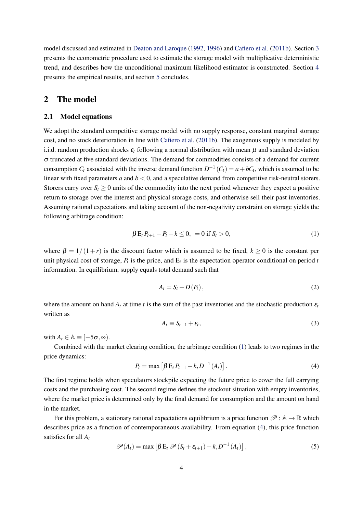model discussed and estimated in [Deaton and Laroque](#page-22-1) [\(1992,](#page-22-1) [1996\)](#page-22-2) and [Cafiero et al.](#page-21-0) [\(2011b\)](#page-21-0). Section [3](#page-7-0) presents the econometric procedure used to estimate the storage model with multiplicative deterministic trend, and describes how the unconditional maximum likelihood estimator is constructed. Section [4](#page-11-0) presents the empirical results, and section [5](#page-20-0) concludes.

#### <span id="page-4-0"></span>2 The model

#### 2.1 Model equations

We adopt the standard competitive storage model with no supply response, constant marginal storage cost, and no stock deterioration in line with [Cafiero et al.](#page-21-0) [\(2011b\)](#page-21-0). The exogenous supply is modeled by i.i.d. random production shocks  $\varepsilon_t$  following a normal distribution with mean  $\mu$  and standard deviation  $\sigma$  truncated at five standard deviations. The demand for commodities consists of a demand for current consumption  $C_t$  associated with the inverse demand function  $D^{-1}(C_t) = a + bC_t$ , which is assumed to be linear with fixed parameters *a* and  $b < 0$ , and a speculative demand from competitive risk-neutral storers. Storers carry over  $S_t \geq 0$  units of the commodity into the next period whenever they expect a positive return to storage over the interest and physical storage costs, and otherwise sell their past inventories. Assuming rational expectations and taking account of the non-negativity constraint on storage yields the following arbitrage condition:

<span id="page-4-1"></span>
$$
\beta E_t P_{t+1} - P_t - k \le 0, \ = 0 \text{ if } S_t > 0,
$$
\n(1)

where  $\beta = 1/(1+r)$  is the discount factor which is assumed to be fixed,  $k \ge 0$  is the constant per unit physical cost of storage,  $P_t$  is the price, and  $E_t$  is the expectation operator conditional on period *t* information. In equilibrium, supply equals total demand such that

<span id="page-4-3"></span>
$$
A_t = S_t + D(P_t), \qquad (2)
$$

<span id="page-4-5"></span>where the amount on hand  $A_t$  at time *t* is the sum of the past inventories and the stochastic production  $\varepsilon_t$ written as

$$
A_t \equiv S_{t-1} + \varepsilon_t, \tag{3}
$$

with  $A_t \in \mathbb{A} \equiv [-5\sigma, \infty)$ .

<span id="page-4-2"></span>Combined with the market clearing condition, the arbitrage condition [\(1\)](#page-4-1) leads to two regimes in the price dynamics:

$$
P_t = \max \left[ \beta E_t P_{t+1} - k, D^{-1} (A_t) \right]. \tag{4}
$$

The first regime holds when speculators stockpile expecting the future price to cover the full carrying costs and the purchasing cost. The second regime defines the stockout situation with empty inventories, where the market price is determined only by the final demand for consumption and the amount on hand in the market.

For this problem, a stationary rational expectations equilibrium is a price function  $\mathscr{P} : A \to \mathbb{R}$  which describes price as a function of contemporaneous availability. From equation [\(4\)](#page-4-2), this price function satisfies for all *A<sup>t</sup>*

<span id="page-4-4"></span>
$$
\mathscr{P}(A_t) = \max \left[ \beta \mathbf{E}_t \, \mathscr{P}(S_t + \varepsilon_{t+1}) - k, D^{-1}(A_t) \right],\tag{5}
$$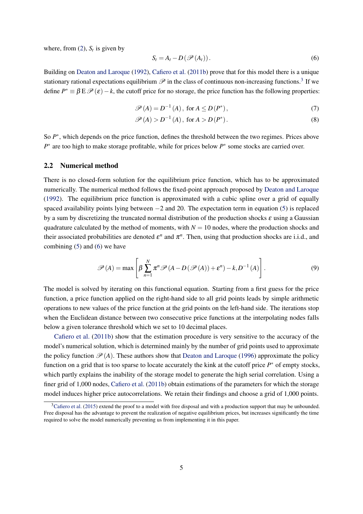where, from  $(2)$ ,  $S_t$  is given by

<span id="page-5-1"></span>
$$
S_t = A_t - D(\mathscr{P}(A_t)).
$$
\n<sup>(6)</sup>

Building on [Deaton and Laroque](#page-22-1) [\(1992\)](#page-22-1), [Cafiero et al.](#page-21-0) [\(2011b\)](#page-21-0) prove that for this model there is a unique stationary rational expectations equilibrium  $\mathscr P$  in the class of continuous non-increasing functions.<sup>[3](#page-5-0)</sup> If we define  $P^* \equiv \beta \to \mathcal{P}(\varepsilon) - k$ , the cutoff price for no storage, the price function has the following properties:

$$
\mathscr{P}(A) = D^{-1}(A), \text{ for } A \le D(P^*), \tag{7}
$$

$$
\mathscr{P}(A) > D^{-1}(A), \text{ for } A > D(P^*).
$$
 (8)

So  $P^*$ , which depends on the price function, defines the threshold between the two regimes. Prices above *P*<sup>\*</sup> are too high to make storage profitable, while for prices below *P*<sup>\*</sup> some stocks are carried over.

#### 2.2 Numerical method

There is no closed-form solution for the equilibrium price function, which has to be approximated numerically. The numerical method follows the fixed-point approach proposed by [Deaton and Laroque](#page-22-1) [\(1992\)](#page-22-1). The equilibrium price function is approximated with a cubic spline over a grid of equally spaced availability points lying between  $-2$  and 20. The expectation term in equation [\(5\)](#page-4-4) is replaced by a sum by discretizing the truncated normal distribution of the production shocks  $\varepsilon$  using a Gaussian quadrature calculated by the method of moments, with  $N = 10$  nodes, where the production shocks and their associated probabilities are denoted  $\varepsilon^n$  and  $\pi^n$ . Then, using that production shocks are i.i.d., and combining [\(5\)](#page-4-4) and [\(6\)](#page-5-1) we have

$$
\mathscr{P}(A) = \max \left[ \beta \sum_{n=1}^{N} \pi^{n} \mathscr{P}(A - D(\mathscr{P}(A)) + \varepsilon^{n}) - k, D^{-1}(A) \right].
$$
 (9)

The model is solved by iterating on this functional equation. Starting from a first guess for the price function, a price function applied on the right-hand side to all grid points leads by simple arithmetic operations to new values of the price function at the grid points on the left-hand side. The iterations stop when the Euclidean distance between two consecutive price functions at the interpolating nodes falls below a given tolerance threshold which we set to 10 decimal places.

[Cafiero et al.](#page-21-0) [\(2011b\)](#page-21-0) show that the estimation procedure is very sensitive to the accuracy of the model's numerical solution, which is determined mainly by the number of grid points used to approximate the policy function  $\mathcal{P}(A)$ . These authors show that [Deaton and Laroque](#page-22-2) [\(1996\)](#page-22-2) approximate the policy function on a grid that is too sparse to locate accurately the kink at the cutoff price  $P^*$  of empty stocks, which partly explains the inability of the storage model to generate the high serial correlation. Using a finer grid of 1,000 nodes, [Cafiero et al.](#page-21-0) [\(2011b\)](#page-21-0) obtain estimations of the parameters for which the storage model induces higher price autocorrelations. We retain their findings and choose a grid of 1,000 points.

<span id="page-5-0"></span> $3$ [Cafiero et al.](#page-21-2) [\(2015\)](#page-21-2) extend the proof to a model with free disposal and with a production support that may be unbounded. Free disposal has the advantage to prevent the realization of negative equilibrium prices, but increases significantly the time required to solve the model numerically preventing us from implementing it in this paper.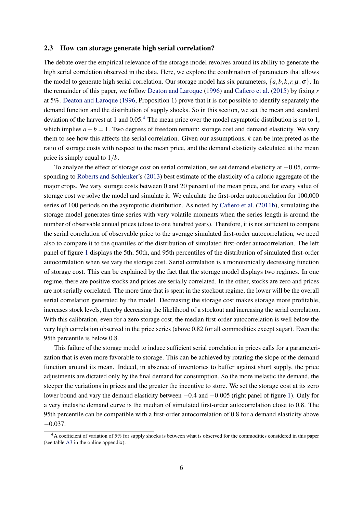#### <span id="page-6-1"></span>2.3 How can storage generate high serial correlation?

The debate over the empirical relevance of the storage model revolves around its ability to generate the high serial correlation observed in the data. Here, we explore the combination of parameters that allows the model to generate high serial correlation. Our storage model has six parameters,  $\{a, b, k, r, \mu, \sigma\}$ . In the remainder of this paper, we follow [Deaton and Laroque](#page-22-2) [\(1996\)](#page-22-2) and [Cafiero et al.](#page-21-2) [\(2015\)](#page-21-2) by fixing *r* at 5%. [Deaton and Laroque](#page-22-2) [\(1996,](#page-22-2) Proposition 1) prove that it is not possible to identify separately the demand function and the distribution of supply shocks. So in this section, we set the mean and standard deviation of the harvest at 1 and  $0.05<sup>4</sup>$  $0.05<sup>4</sup>$  $0.05<sup>4</sup>$ . The mean price over the model asymptotic distribution is set to 1, which implies  $a + b = 1$ . Two degrees of freedom remain: storage cost and demand elasticity. We vary them to see how this affects the serial correlation. Given our assumptions, *k* can be interpreted as the ratio of storage costs with respect to the mean price, and the demand elasticity calculated at the mean price is simply equal to 1/*b*.

To analyze the effect of storage cost on serial correlation, we set demand elasticity at −0.05, corresponding to [Roberts and Schlenker'](#page-23-3)s [\(2013\)](#page-23-3) best estimate of the elasticity of a caloric aggregate of the major crops. We vary storage costs between 0 and 20 percent of the mean price, and for every value of storage cost we solve the model and simulate it. We calculate the first-order autocorrelation for 100,000 series of 100 periods on the asymptotic distribution. As noted by [Cafiero et al.](#page-21-0) [\(2011b\)](#page-21-0), simulating the storage model generates time series with very volatile moments when the series length is around the number of observable annual prices (close to one hundred years). Therefore, it is not sufficient to compare the serial correlation of observable price to the average simulated first-order autocorrelation, we need also to compare it to the quantiles of the distribution of simulated first-order autocorrelation. The left panel of figure [1](#page-7-1) displays the 5th, 50th, and 95th percentiles of the distribution of simulated first-order autocorrelation when we vary the storage cost. Serial correlation is a monotonically decreasing function of storage cost. This can be explained by the fact that the storage model displays two regimes. In one regime, there are positive stocks and prices are serially correlated. In the other, stocks are zero and prices are not serially correlated. The more time that is spent in the stockout regime, the lower will be the overall serial correlation generated by the model. Decreasing the storage cost makes storage more profitable, increases stock levels, thereby decreasing the likelihood of a stockout and increasing the serial correlation. With this calibration, even for a zero storage cost, the median first-order autocorrelation is well below the very high correlation observed in the price series (above 0.82 for all commodities except sugar). Even the 95th percentile is below 0.8.

This failure of the storage model to induce sufficient serial correlation in prices calls for a parameterization that is even more favorable to storage. This can be achieved by rotating the slope of the demand function around its mean. Indeed, in absence of inventories to buffer against short supply, the price adjustments are dictated only by the final demand for consumption. So the more inelastic the demand, the steeper the variations in prices and the greater the incentive to store. We set the storage cost at its zero lower bound and vary the demand elasticity between −0.4 and −0.005 (right panel of figure [1\)](#page-7-1). Only for a very inelastic demand curve is the median of simulated first-order autocorrelation close to 0.8. The 95th percentile can be compatible with a first-order autocorrelation of 0.8 for a demand elasticity above  $-0.037$ .

<span id="page-6-0"></span><sup>&</sup>lt;sup>4</sup>A coefficient of variation of 5% for supply shocks is between what is observed for the commodities considered in this paper (see table [A3](#page-14-0) in the online appendix).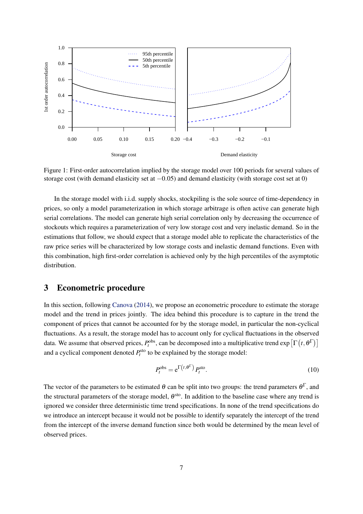

<span id="page-7-1"></span>Figure 1: First-order autocorrelation implied by the storage model over 100 periods for several values of storage cost (with demand elasticity set at −0.05) and demand elasticity (with storage cost set at 0)

In the storage model with i.i.d. supply shocks, stockpiling is the sole source of time-dependency in prices, so only a model parameterization in which storage arbitrage is often active can generate high serial correlations. The model can generate high serial correlation only by decreasing the occurrence of stockouts which requires a parameterization of very low storage cost and very inelastic demand. So in the estimations that follow, we should expect that a storage model able to replicate the characteristics of the raw price series will be characterized by low storage costs and inelastic demand functions. Even with this combination, high first-order correlation is achieved only by the high percentiles of the asymptotic distribution.

#### <span id="page-7-0"></span>3 Econometric procedure

In this section, following [Canova](#page-22-8) [\(2014\)](#page-22-8), we propose an econometric procedure to estimate the storage model and the trend in prices jointly. The idea behind this procedure is to capture in the trend the component of prices that cannot be accounted for by the storage model, in particular the non-cyclical fluctuations. As a result, the storage model has to account only for cyclical fluctuations in the observed data. We assume that observed prices,  $P_t^{obs}$ , can be decomposed into a multiplicative trend  $exp\left[\Gamma\left(t,\theta^{\Gamma}\right)\right]$ and a cyclical component denoted  $P_t^{\text{sto}}$  to be explained by the storage model:

<span id="page-7-2"></span>
$$
P_t^{\text{obs}} = e^{\Gamma(t, \theta^{\Gamma})} P_t^{\text{sto}}.
$$
 (10)

The vector of the parameters to be estimated  $\theta$  can be split into two groups: the trend parameters  $\theta^{\Gamma}$ , and the structural parameters of the storage model,  $\theta^{sto}$ . In addition to the baseline case where any trend is ignored we consider three deterministic time trend specifications. In none of the trend specifications do we introduce an intercept because it would not be possible to identify separately the intercept of the trend from the intercept of the inverse demand function since both would be determined by the mean level of observed prices.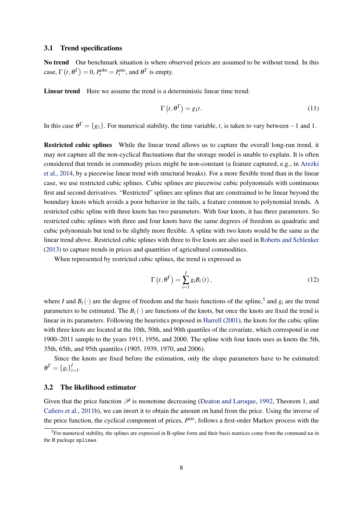#### 3.1 Trend specifications

No trend Our benchmark situation is where observed prices are assumed to be without trend. In this case,  $\Gamma(t, \theta^{\Gamma}) = 0$ ,  $P_t^{\text{obs}} = P_t^{\text{sto}}$ , and  $\theta^{\Gamma}$  is empty.

Linear trend Here we assume the trend is a deterministic linear time trend:

$$
\Gamma(t, \theta^{\Gamma}) = g_1 t. \tag{11}
$$

In this case  $\theta^{\Gamma} = \{g_1\}$ . For numerical stability, the time variable, *t*, is taken to vary between −1 and 1.

Restricted cubic splines While the linear trend allows us to capture the overall long-run trend, it may not capture all the non-cyclical fluctuations that the storage model is unable to explain. It is often considered that trends in commodity prices might be non-constant (a feature captured, e.g., in [Arezki](#page-21-7) [et al.,](#page-21-7) [2014,](#page-21-7) by a piecewise linear trend with structural breaks). For a more flexible trend than in the linear case, we use restricted cubic splines. Cubic splines are piecewise cubic polynomials with continuous first and second derivatives. "Restricted" splines are splines that are constrained to be linear beyond the boundary knots which avoids a poor behavior in the tails, a feature common to polynomial trends. A restricted cubic spline with three knots has two parameters. With four knots, it has three parameters. So restricted cubic splines with three and four knots have the same degrees of freedom as quadratic and cubic polynomials but tend to be slightly more flexible. A spline with two knots would be the same as the linear trend above. Restricted cubic splines with three to five knots are also used in [Roberts and Schlenker](#page-23-3) [\(2013\)](#page-23-3) to capture trends in prices and quantities of agricultural commodities.

When represented by restricted cubic splines, the trend is expressed as

$$
\Gamma(t, \theta^{\Gamma}) = \sum_{i=1}^{I} g_i B_i(t), \qquad (12)
$$

where *I* and  $B_i(\cdot)$  are the degree of freedom and the basis functions of the spline,<sup>[5](#page-8-0)</sup> and  $g_i$  are the trend parameters to be estimated. The  $B_i(\cdot)$  are functions of the knots, but once the knots are fixed the trend is linear in its parameters. Following the heuristics proposed in [Harrell](#page-22-14) [\(2001\)](#page-22-14), the knots for the cubic spline with three knots are located at the 10th, 50th, and 90th quantiles of the covariate, which correspond in our 1900–2011 sample to the years 1911, 1956, and 2000. The spline with four knots uses as knots the 5th, 35th, 65th, and 95th quantiles (1905, 1939, 1970, and 2006).

Since the knots are fixed before the estimation, only the slope parameters have to be estimated:  $\theta^{\Gamma} = \{g_i\}_i^{\Gamma}$  $\sum_{i=1}^{I}$ .

#### 3.2 The likelihood estimator

Given that the price function  $\mathscr P$  is monotone decreasing [\(Deaton and Laroque,](#page-22-1) [1992,](#page-22-1) Theorem 1, and [Cafiero et al.,](#page-21-0) [2011b\)](#page-21-0), we can invert it to obtain the amount on hand from the price. Using the inverse of the price function, the cyclical component of prices,  $P<sup>sto</sup>$ , follows a first-order Markov process with the

<span id="page-8-0"></span> $<sup>5</sup>$  For numerical stability, the splines are expressed in B-spline form and their basis matrices come from the command ns in</sup> the R package splines.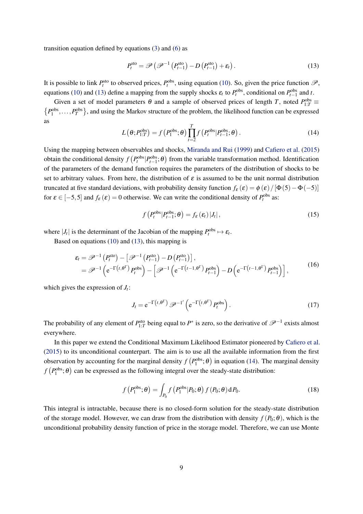transition equation defined by equations [\(3\)](#page-4-5) and [\(6\)](#page-5-1) as

<span id="page-9-0"></span>
$$
P_t^{\text{sto}} = \mathscr{P}\left(\mathscr{P}^{-1}\left(P_{t-1}^{\text{sto}}\right) - D\left(P_{t-1}^{\text{sto}}\right) + \varepsilon_t\right). \tag{13}
$$

It is possible to link  $P_t^{\text{sto}}$  to observed prices,  $P_t^{\text{obs}}$ , using equation [\(10\)](#page-7-2). So, given the price function  $\mathscr{P}$ , equations [\(10\)](#page-7-2) and [\(13\)](#page-9-0) define a mapping from the supply shocks  $\varepsilon_t$  to  $P_t^{\text{obs}}$ , conditional on  $P_{t-1}^{\text{obs}}$  and *t*.

<span id="page-9-1"></span>Given a set of model parameters  $\theta$  and a sample of observed prices of length *T*, noted  $P_{1:T}^{\text{obs}}$  $\{P_1^{\text{obs}}, \ldots, P_T^{\text{obs}}\}$ , and using the Markov structure of the problem, the likelihood function can be expressed as

$$
L(\theta; P_{1:T}^{\text{obs}}) = f(P_1^{\text{obs}}; \theta) \prod_{t=2}^{T} f(P_t^{\text{obs}} | P_{t-1}^{\text{obs}}; \theta).
$$
 (14)

Using the mapping between observables and shocks, [Miranda and Rui](#page-22-15) [\(1999\)](#page-22-15) and [Cafiero et al.](#page-21-2) [\(2015\)](#page-21-2) obtain the conditional density  $f(P_t^{obs}|P_{t-1}^{obs}; \theta)$  from the variable transformation method. Identification of the parameters of the demand function requires the parameters of the distribution of shocks to be set to arbitrary values. From here, the distribution of  $\varepsilon$  is assumed to be the unit normal distribution truncated at five standard deviations, with probability density function  $f_{\varepsilon}(\varepsilon) = \phi(\varepsilon)/[\Phi(5)-\Phi(-5)]$ for  $\varepsilon \in [-5, 5]$  and  $f_{\varepsilon}(\varepsilon) = 0$  otherwise. We can write the conditional density of  $P_t^{\text{obs}}$  as:

$$
f\left(P_t^{\text{obs}}|P_{t-1}^{\text{obs}};\theta\right) = f_{\varepsilon}\left(\varepsilon_t\right)|J_t|,\tag{15}
$$

where  $|J_t|$  is the determinant of the Jacobian of the mapping  $P_t^{\text{obs}} \mapsto \varepsilon_t$ .

Based on equations [\(10\)](#page-7-2) and [\(13\)](#page-9-0), this mapping is

$$
\varepsilon_{t} = \mathscr{P}^{-1} \left( P_{t}^{\text{sto}} \right) - \left[ \mathscr{P}^{-1} \left( P_{t-1}^{\text{sto}} \right) - D \left( P_{t-1}^{\text{sto}} \right) \right],
$$
\n
$$
= \mathscr{P}^{-1} \left( e^{-\Gamma \left( t, \theta^{\Gamma} \right)} P_{t}^{\text{obs}} \right) - \left[ \mathscr{P}^{-1} \left( e^{-\Gamma \left( t-1, \theta^{\Gamma} \right)} P_{t-1}^{\text{obs}} \right) - D \left( e^{-\Gamma \left( t-1, \theta^{\Gamma} \right)} P_{t-1}^{\text{obs}} \right) \right],
$$
\n(16)

which gives the expression of *J<sup>t</sup>* :

$$
J_t = e^{-\Gamma(t,\theta^{\Gamma})} \mathscr{P}^{-1'} \left( e^{-\Gamma(t,\theta^{\Gamma})} P_t^{\text{obs}} \right).
$$
 (17)

The probability of any element of  $P_{1:T}^{\text{sto}}$  being equal to  $P^*$  is zero, so the derivative of  $\mathscr{P}^{-1}$  exists almost everywhere.

In this paper we extend the Conditional Maximum Likelihood Estimator pioneered by [Cafiero et al.](#page-21-2) [\(2015\)](#page-21-2) to its unconditional counterpart. The aim is to use all the available information from the first observation by accounting for the marginal density  $f(P_1^{\text{obs}}; \theta)$  in equation [\(14\)](#page-9-1). The marginal density  $f(P_1^{\text{obs}}; \theta)$  can be expressed as the following integral over the steady-state distribution:

$$
f(P_1^{\text{obs}}; \theta) = \int_{P_0} f(P_1^{\text{obs}} | P_0; \theta) f(P_0; \theta) dP_0.
$$
 (18)

This integral is intractable, because there is no closed-form solution for the steady-state distribution of the storage model. However, we can draw from the distribution with density  $f(P_0; \theta)$ , which is the unconditional probability density function of price in the storage model. Therefore, we can use Monte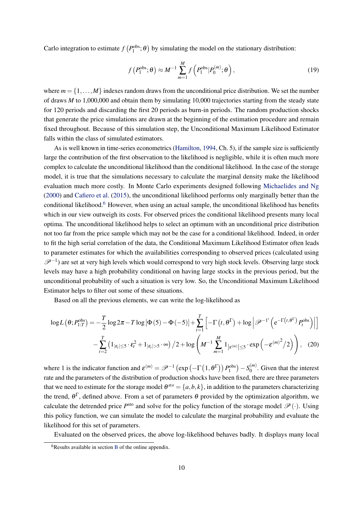Carlo integration to estimate  $f(P_1^{\text{obs}}; \theta)$  by simulating the model on the stationary distribution:

$$
f\left(P_1^{\text{obs}};\theta\right) \approx M^{-1} \sum_{m=1}^{M} f\left(P_1^{\text{obs}}|P_0^{(m)};\theta\right),\tag{19}
$$

where  $m = \{1, \ldots, M\}$  indexes random draws from the unconditional price distribution. We set the number of draws *M* to 1,000,000 and obtain them by simulating 10,000 trajectories starting from the steady state for 120 periods and discarding the first 20 periods as burn-in periods. The random production shocks that generate the price simulations are drawn at the beginning of the estimation procedure and remain fixed throughout. Because of this simulation step, the Unconditional Maximum Likelihood Estimator falls within the class of simulated estimators.

As is well known in time-series econometrics [\(Hamilton,](#page-22-16) [1994,](#page-22-16) Ch. 5), if the sample size is sufficiently large the contribution of the first observation to the likelihood is negligible, while it is often much more complex to calculate the unconditional likelihood than the conditional likelihood. In the case of the storage model, it is true that the simulations necessary to calculate the marginal density make the likelihood evaluation much more costly. In Monte Carlo experiments designed following [Michaelides and Ng](#page-22-17) [\(2000\)](#page-22-17) and [Cafiero et al.](#page-21-2) [\(2015\)](#page-21-2), the unconditional likelihood performs only marginally better than the conditional likelihood.<sup>[6](#page-10-0)</sup> However, when using an actual sample, the unconditional likelihood has benefits which in our view outweigh its costs. For observed prices the conditional likelihood presents many local optima. The unconditional likelihood helps to select an optimum with an unconditional price distribution not too far from the price sample which may not be the case for a conditional likelihood. Indeed, in order to fit the high serial correlation of the data, the Conditional Maximum Likelihood Estimator often leads to parameter estimates for which the availabilities corresponding to observed prices (calculated using  $\mathscr{P}^{-1}$ ) are set at very high levels which would correspond to very high stock levels. Observing large stock levels may have a high probability conditional on having large stocks in the previous period, but the unconditional probability of such a situation is very low. So, the Unconditional Maximum Likelihood Estimator helps to filter out some of these situations.

<span id="page-10-1"></span>Based on all the previous elements, we can write the log-likelihood as

$$
\log L(\theta; P_{1:T}^{\text{obs}}) = -\frac{T}{2} \log 2\pi - T \log [\Phi(5) - \Phi(-5)] + \sum_{t=1}^{T} \left[ -\Gamma(t, \theta^{\Gamma}) + \log \left| \mathcal{P}^{-1'} \left( e^{-\Gamma(t, \theta^{\Gamma})} P_{t}^{\text{obs}} \right) \right| \right]
$$

$$
- \sum_{t=2}^{T} \left( 1_{|\varepsilon_{t}| \leq 5} \cdot \varepsilon_{t}^{2} + 1_{|\varepsilon_{t}| > 5} \cdot \infty \right) / 2 + \log \left( M^{-1} \sum_{m=1}^{M} 1_{|\varepsilon^{(m)}| \leq 5} \cdot \exp \left( -\varepsilon^{(m)^{2}} / 2 \right) \right), \quad (20)
$$

where 1 is the indicator function and  $\varepsilon^{(m)} = \mathscr{P}^{-1}(\exp(-\Gamma(1, \theta^{\Gamma})) P_1^{\text{obs}}) - S_0^{(m)}$  $\binom{m}{0}$ . Given that the interest rate and the parameters of the distribution of production shocks have been fixed, there are three parameters that we need to estimate for the storage model  $\theta^{sto} = \{a, b, k\}$ , in addition to the parameters characterizing the trend,  $\theta^{\Gamma}$ , defined above. From a set of parameters  $\theta$  provided by the optimization algorithm, we calculate the detrended price  $P^{\text{sto}}$  and solve for the policy function of the storage model  $\mathscr{P}(\cdot)$ . Using this policy function, we can simulate the model to calculate the marginal probability and evaluate the likelihood for this set of parameters.

Evaluated on the observed prices, the above log-likelihood behaves badly. It displays many local

<span id="page-10-0"></span> $6$ Results available in section [B](#page-24-0) of the online appendix.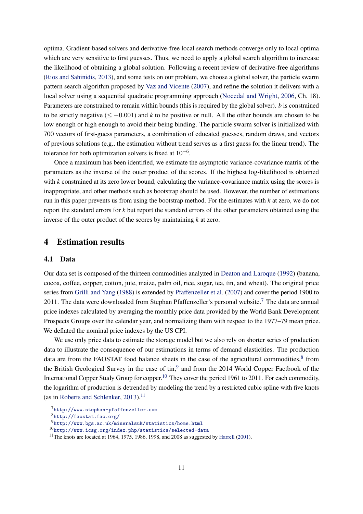optima. Gradient-based solvers and derivative-free local search methods converge only to local optima which are very sensitive to first guesses. Thus, we need to apply a global search algorithm to increase the likelihood of obtaining a global solution. Following a recent review of derivative-free algorithms [\(Rios and Sahinidis,](#page-22-18) [2013\)](#page-22-18), and some tests on our problem, we choose a global solver, the particle swarm pattern search algorithm proposed by [Vaz and Vicente](#page-23-4) [\(2007\)](#page-23-4), and refine the solution it delivers with a local solver using a sequential quadratic programming approach [\(Nocedal and Wright,](#page-22-19) [2006,](#page-22-19) Ch. 18). Parameters are constrained to remain within bounds (this is required by the global solver). *b* is constrained to be strictly negative  $(\leq -0.001)$  and *k* to be positive or null. All the other bounds are chosen to be low enough or high enough to avoid their being binding. The particle swarm solver is initialized with 700 vectors of first-guess parameters, a combination of educated guesses, random draws, and vectors of previous solutions (e.g., the estimation without trend serves as a first guess for the linear trend). The tolerance for both optimization solvers is fixed at  $10^{-6}$ .

Once a maximum has been identified, we estimate the asymptotic variance-covariance matrix of the parameters as the inverse of the outer product of the scores. If the highest log-likelihood is obtained with *k* constrained at its zero lower bound, calculating the variance-covariance matrix using the scores is inappropriate, and other methods such as bootstrap should be used. However, the number of estimations run in this paper prevents us from using the bootstrap method. For the estimates with *k* at zero, we do not report the standard errors for *k* but report the standard errors of the other parameters obtained using the inverse of the outer product of the scores by maintaining *k* at zero.

#### <span id="page-11-0"></span>4 Estimation results

#### 4.1 Data

Our data set is composed of the thirteen commodities analyzed in [Deaton and Laroque](#page-22-1) [\(1992\)](#page-22-1) (banana, cocoa, coffee, copper, cotton, jute, maize, palm oil, rice, sugar, tea, tin, and wheat). The original price series from [Grilli and Yang](#page-22-5) [\(1988\)](#page-22-5) is extended by [Pfaffenzeller et al.](#page-22-20) [\(2007\)](#page-22-20) and cover the period 1900 to 2011. The data were downloaded from Stephan Pfaffenzeller's personal website.[7](#page-11-1) The data are annual price indexes calculated by averaging the monthly price data provided by the World Bank Development Prospects Groups over the calendar year, and normalizing them with respect to the 1977–79 mean price. We deflated the nominal price indexes by the US CPI.

We use only price data to estimate the storage model but we also rely on shorter series of production data to illustrate the consequence of our estimations in terms of demand elasticities. The production data are from the FAOSTAT food balance sheets in the case of the agricultural commodities, ${}^{8}$  ${}^{8}$  ${}^{8}$  from the British Geological Survey in the case of tin,<sup>[9](#page-11-3)</sup> and from the 2014 World Copper Factbook of the International Copper Study Group for copper.<sup>[10](#page-11-4)</sup> They cover the period 1961 to 2011. For each commodity, the logarithm of production is detrended by modeling the trend by a restricted cubic spline with five knots (as in [Roberts and Schlenker,](#page-23-3) [2013\)](#page-23-3).<sup>[11](#page-11-5)</sup>

<span id="page-11-1"></span> $^{7}$ <http://www.stephan-pfaffenzeller.com>

<span id="page-11-2"></span><sup>8</sup><http://faostat.fao.org/>

<span id="page-11-3"></span><sup>9</sup><http://www.bgs.ac.uk/mineralsuk/statistics/home.html>

<span id="page-11-4"></span><sup>10</sup><http://www.icsg.org/index.php/statistics/selected-data>

<span id="page-11-5"></span><sup>&</sup>lt;sup>11</sup>The knots are located at 1964, 1975, 1986, 1998, and 2008 as suggested by [Harrell](#page-22-14) [\(2001\)](#page-22-14).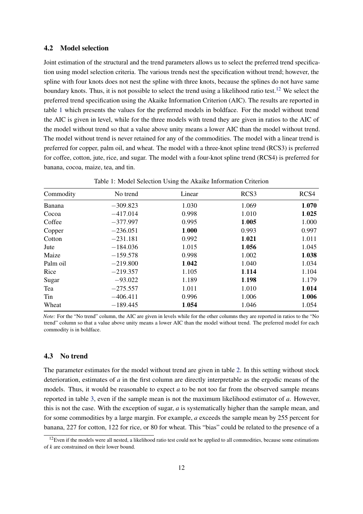#### 4.2 Model selection

Joint estimation of the structural and the trend parameters allows us to select the preferred trend specification using model selection criteria. The various trends nest the specification without trend; however, the spline with four knots does not nest the spline with three knots, because the splines do not have same boundary knots. Thus, it is not possible to select the trend using a likelihood ratio test.<sup>[12](#page-12-0)</sup> We select the preferred trend specification using the Akaike Information Criterion (AIC). The results are reported in table [1](#page-12-1) which presents the values for the preferred models in boldface. For the model without trend the AIC is given in level, while for the three models with trend they are given in ratios to the AIC of the model without trend so that a value above unity means a lower AIC than the model without trend. The model without trend is never retained for any of the commodities. The model with a linear trend is preferred for copper, palm oil, and wheat. The model with a three-knot spline trend (RCS3) is preferred for coffee, cotton, jute, rice, and sugar. The model with a four-knot spline trend (RCS4) is preferred for banana, cocoa, maize, tea, and tin.

| Commodity | No trend   | Linear | RCS3  | RCS4  |
|-----------|------------|--------|-------|-------|
| Banana    | $-309.823$ | 1.030  | 1.069 | 1.070 |
| Cocoa     | $-417.014$ | 0.998  | 1.010 | 1.025 |
| Coffee    | $-377.997$ | 0.995  | 1.005 | 1.000 |
| Copper    | $-236.051$ | 1.000  | 0.993 | 0.997 |
| Cotton    | $-231.181$ | 0.992  | 1.021 | 1.011 |
| Jute      | $-184.036$ | 1.015  | 1.056 | 1.045 |
| Maize     | $-159.578$ | 0.998  | 1.002 | 1.038 |
| Palm oil  | $-219.800$ | 1.042  | 1.040 | 1.034 |
| Rice      | $-219.357$ | 1.105  | 1.114 | 1.104 |
| Sugar     | $-93.022$  | 1.189  | 1.198 | 1.179 |
| Tea       | $-275.557$ | 1.011  | 1.010 | 1.014 |
| Tin       | $-406.411$ | 0.996  | 1.006 | 1.006 |
| Wheat     | $-189.445$ | 1.054  | 1.046 | 1.054 |

<span id="page-12-1"></span>Table 1: Model Selection Using the Akaike Information Criterion

*Note:* For the "No trend" column, the AIC are given in levels while for the other columns they are reported in ratios to the "No trend" column so that a value above unity means a lower AIC than the model without trend. The preferred model for each commodity is in boldface.

#### 4.3 No trend

The parameter estimates for the model without trend are given in table [2.](#page-13-0) In this setting without stock deterioration, estimates of *a* in the first column are directly interpretable as the ergodic means of the models. Thus, it would be reasonable to expect *a* to be not too far from the observed sample means reported in table [3,](#page-14-0) even if the sample mean is not the maximum likelihood estimator of *a*. However, this is not the case. With the exception of sugar, *a* is systematically higher than the sample mean, and for some commodities by a large margin. For example, *a* exceeds the sample mean by 255 percent for banana, 227 for cotton, 122 for rice, or 80 for wheat. This "bias" could be related to the presence of a

<span id="page-12-0"></span> $12$ Even if the models were all nested, a likelihood ratio test could not be applied to all commodities, because some estimations of *k* are constrained on their lower bound.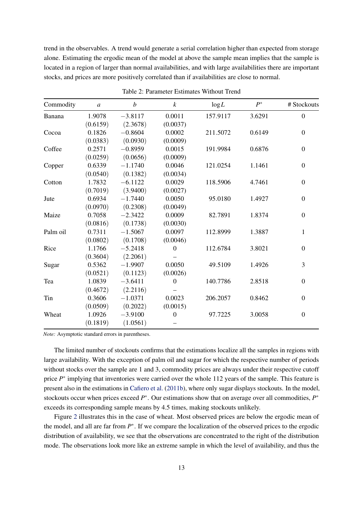trend in the observables. A trend would generate a serial correlation higher than expected from storage alone. Estimating the ergodic mean of the model at above the sample mean implies that the sample is located in a region of larger than normal availabilities, and with large availabilities there are important stocks, and prices are more positively correlated than if availabilities are close to normal.

| Commodity | $\boldsymbol{a}$ | $\boldsymbol{b}$ | $\boldsymbol{k}$ | log L    | $P^*$  | # Stockouts      |
|-----------|------------------|------------------|------------------|----------|--------|------------------|
| Banana    | 1.9078           | $-3.8117$        | 0.0011           | 157.9117 | 3.6291 | $\boldsymbol{0}$ |
|           | (0.6159)         | (2.3678)         | (0.0037)         |          |        |                  |
| Cocoa     | 0.1826           | $-0.8604$        | 0.0002           | 211.5072 | 0.6149 | $\mathbf{0}$     |
|           | (0.0383)         | (0.0930)         | (0.0009)         |          |        |                  |
| Coffee    | 0.2571           | $-0.8959$        | 0.0015           | 191.9984 | 0.6876 | $\boldsymbol{0}$ |
|           | (0.0259)         | (0.0656)         | (0.0009)         |          |        |                  |
| Copper    | 0.6339           | $-1.1740$        | 0.0046           | 121.0254 | 1.1461 | $\boldsymbol{0}$ |
|           | (0.0540)         | (0.1382)         | (0.0034)         |          |        |                  |
| Cotton    | 1.7832           | $-6.1122$        | 0.0029           | 118.5906 | 4.7461 | $\mathbf{0}$     |
|           | (0.7019)         | (3.9400)         | (0.0027)         |          |        |                  |
| Jute      | 0.6934           | $-1.7440$        | 0.0050           | 95.0180  | 1.4927 | $\boldsymbol{0}$ |
|           | (0.0970)         | (0.2308)         | (0.0049)         |          |        |                  |
| Maize     | 0.7058           | $-2.3422$        | 0.0009           | 82.7891  | 1.8374 | $\boldsymbol{0}$ |
|           | (0.0816)         | (0.1738)         | (0.0030)         |          |        |                  |
| Palm oil  | 0.7311           | $-1.5067$        | 0.0097           | 112.8999 | 1.3887 | 1                |
|           | (0.0802)         | (0.1708)         | (0.0046)         |          |        |                  |
| Rice      | 1.1766           | $-5.2418$        | $\overline{0}$   | 112.6784 | 3.8021 | $\mathbf{0}$     |
|           | (0.3604)         | (2.2061)         |                  |          |        |                  |
| Sugar     | 0.5362           | $-1.9907$        | 0.0050           | 49.5109  | 1.4926 | 3                |
|           | (0.0521)         | (0.1123)         | (0.0026)         |          |        |                  |
| Tea       | 1.0839           | $-3.6411$        | $\theta$         | 140.7786 | 2.8518 | $\mathbf{0}$     |
|           | (0.4672)         | (2.2116)         |                  |          |        |                  |
| Tin       | 0.3606           | $-1.0371$        | 0.0023           | 206.2057 | 0.8462 | $\theta$         |
|           | (0.0509)         | (0.2022)         | (0.0015)         |          |        |                  |
| Wheat     | 1.0926           | $-3.9100$        | $\overline{0}$   | 97.7225  | 3.0058 | $\boldsymbol{0}$ |
|           | (0.1819)         | (1.0561)         |                  |          |        |                  |

<span id="page-13-0"></span>Table 2: Parameter Estimates Without Trend

*Note:* Asymptotic standard errors in parentheses.

The limited number of stockouts confirms that the estimations localize all the samples in regions with large availability. With the exception of palm oil and sugar for which the respective number of periods without stocks over the sample are 1 and 3, commodity prices are always under their respective cutoff price *P*<sup>\*</sup> implying that inventories were carried over the whole 112 years of the sample. This feature is present also in the estimations in [Cafiero et al.](#page-21-0) [\(2011b\)](#page-21-0), where only sugar displays stockouts. In the model, stockouts occur when prices exceed  $P^*$ . Our estimations show that on average over all commodities,  $P^*$ exceeds its corresponding sample means by 4.5 times, making stockouts unlikely.

Figure [2](#page-15-0) illustrates this in the case of wheat. Most observed prices are below the ergodic mean of the model, and all are far from *P* ∗ . If we compare the localization of the observed prices to the ergodic distribution of availability, we see that the observations are concentrated to the right of the distribution mode. The observations look more like an extreme sample in which the level of availability, and thus the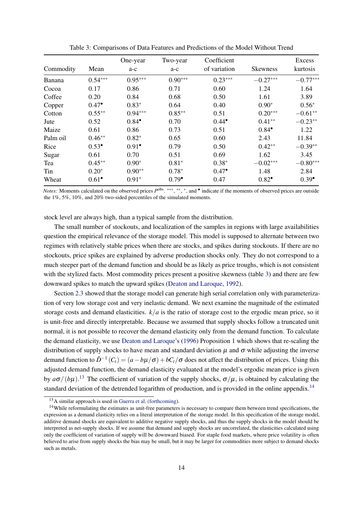|           |                  | One-year         | Two-year       | Coefficient      |                  | Excess           |
|-----------|------------------|------------------|----------------|------------------|------------------|------------------|
| Commodity | Mean             | a-c              | a-c            | of variation     | <b>Skewness</b>  | kurtosis         |
| Banana    | $0.54***$        | $0.95***$        | $0.90***$      | $0.23***$        | $-0.27***$       | $-0.77***$       |
| Cocoa     | 0.17             | 0.86             | 0.71           | 0.60             | 1.24             | 1.64             |
| Coffee    | 0.20             | 0.84             | 0.68           | 0.50             | 1.61             | 3.89             |
| Copper    | $0.47^{\bullet}$ | $0.83*$          | 0.64           | 0.40             | $0.90*$          | $0.56*$          |
| Cotton    | $0.55***$        | $0.94***$        | $0.85**$       | 0.51             | $0.20***$        | $-0.61**$        |
| Jute      | 0.52             | $0.84^{\bullet}$ | 0.70           | $0.44^{\circ}$   | $0.41**$         | $-0.23**$        |
| Maize     | 0.61             | 0.86             | 0.73           | 0.51             | $0.84^{\bullet}$ | 1.22             |
| Palm oil  | $0.46**$         | $0.82*$          | 0.65           | 0.60             | 2.43             | 11.84            |
| Rice      | $0.53^{\circ}$   | $0.91^{\bullet}$ | 0.79           | 0.50             | $0.42**$         | $-0.39**$        |
| Sugar     | 0.61             | 0.70             | 0.51           | 0.69             | 1.62             | 3.45             |
| Tea       | $0.45**$         | $0.90*$          | $0.81*$        | $0.38*$          | $-0.02***$       | $-0.80***$       |
| Tin       | $0.20*$          | $0.90**$         | $0.78*$        | $0.47^{\bullet}$ | 1.48             | 2.84             |
| Wheat     | $0.61^{\bullet}$ | $0.91*$          | $0.79^{\circ}$ | 0.47             | $0.82^{\bullet}$ | $0.39^{\bullet}$ |

<span id="page-14-0"></span>Table 3: Comparisons of Data Features and Predictions of the Model Without Trend

*Notes*: Moments calculated on the observed prices  $P^{obs}$ . \*\*\*, \*\*, \*, and • indicate if the moments of observed prices are outside the 1%, 5%, 10%, and 20% two-sided percentiles of the simulated moments.

stock level are always high, than a typical sample from the distribution.

The small number of stockouts, and localization of the samples in regions with large availabilities question the empirical relevance of the storage model. This model is supposed to alternate between two regimes with relatively stable prices when there are stocks, and spikes during stockouts. If there are no stockouts, price spikes are explained by adverse production shocks only. They do not correspond to a much steeper part of the demand function and should be as likely as price troughs, which is not consistent with the stylized facts. Most commodity prices present a positive skewness (table [3\)](#page-14-0) and there are few downward spikes to match the upward spikes [\(Deaton and Laroque,](#page-22-1) [1992\)](#page-22-1).

Section [2.3](#page-6-1) showed that the storage model can generate high serial correlation only with parameterization of very low storage cost and very inelastic demand. We next examine the magnitude of the estimated storage costs and demand elasticities. *k*/*a* is the ratio of storage cost to the ergodic mean price, so it is unit-free and directly interpretable. Because we assumed that supply shocks follow a truncated unit normal, it is not possible to recover the demand elasticity only from the demand function. To calculate the demand elasticity, we use [Deaton and Laroque'](#page-22-2)s [\(1996\)](#page-22-2) Proposition 1 which shows that re-scaling the distribution of supply shocks to have mean and standard deviation  $\mu$  and  $\sigma$  while adjusting the inverse demand function to  $\tilde{D}^{-1}(C_t) = (a - b\mu/\sigma) + bC_t/\sigma$  does not affect the distribution of prices. Using this adjusted demand function, the demand elasticity evaluated at the model's ergodic mean price is given by  $a\sigma/(b\mu)$ .<sup>[13](#page-14-1)</sup> The coefficient of variation of the supply shocks,  $\sigma/\mu$ , is obtained by calculating the standard deviation of the detrended logarithm of production, and is provided in the online appendix.<sup>[14](#page-14-2)</sup>

<span id="page-14-2"></span><span id="page-14-1"></span><sup>13</sup>A similar approach is used in [Guerra et al.](#page-22-3) [\(forthcoming\)](#page-22-3).

<sup>&</sup>lt;sup>14</sup>While reformulating the estimates as unit-free parameters is necessary to compare them between trend specifications, the expression as a demand elasticity relies on a literal interpretation of the storage model. In this specification of the storage model, additive demand shocks are equivalent to additive negative supply shocks, and thus the supply shocks in the model should be interpreted as net-supply shocks. If we assume that demand and supply shocks are uncorrelated, the elasticities calculated using only the coefficient of variation of supply will be downward biased. For staple food markets, where price volatility is often believed to arise from supply shocks the bias may be small, but it may be larger for commodities more subject to demand shocks such as metals.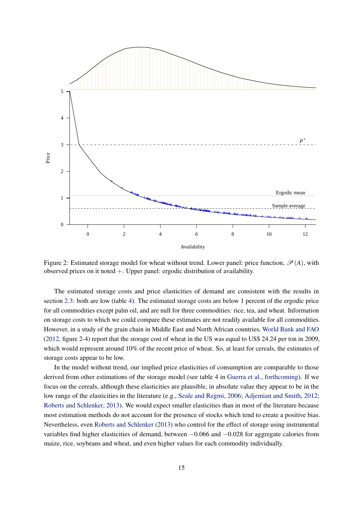

<span id="page-15-0"></span>Figure 2: Estimated storage model for wheat without trend. Lower panel: price function,  $\mathcal{P}(A)$ , with observed prices on it noted  $+$ . Upper panel: ergodic distribution of availability.

The estimated storage costs and price elasticities of demand are consistent with the results in section [2.3:](#page-6-1) both are low (table [4\)](#page-16-0). The estimated storage costs are below 1 percent of the ergodic price for all commodities except palm oil, and are null for three commodities: rice, tea, and wheat. Information on storage costs to which we could compare these estimates are not readily available for all commodities. However, in a study of the grain chain in Middle East and North African countries, [World Bank and FAO](#page-23-5) [\(2012,](#page-23-5) figure 2-4) report that the storage cost of wheat in the US was equal to US\$ 24.24 per ton in 2009, which would represent around 10% of the recent price of wheat. So, at least for cereals, the estimates of storage costs appear to be low.

In the model without trend, our implied price elasticities of consumption are comparable to those derived from other estimations of the storage model (see table 4 in [Guerra et al.,](#page-22-3) [forthcoming\)](#page-22-3). If we focus on the cereals, although these elasticities are plausible, in absolute value they appear to be in the low range of the elasticities in the literature (e.g., [Seale and Regmi,](#page-23-6) [2006;](#page-23-6) [Adjemian and Smith,](#page-21-8) [2012;](#page-21-8) [Roberts and Schlenker,](#page-23-3) [2013\)](#page-23-3). We would expect smaller elasticities than in most of the literature because most estimation methods do not account for the presence of stocks which tend to create a positive bias. Nevertheless, even [Roberts and Schlenker](#page-23-3) [\(2013\)](#page-23-3) who control for the effect of storage using instrumental variables find higher elasticities of demand, between −0.066 and −0.028 for aggregate calories from maize, rice, soybeans and wheat, and even higher values for each commodity individually.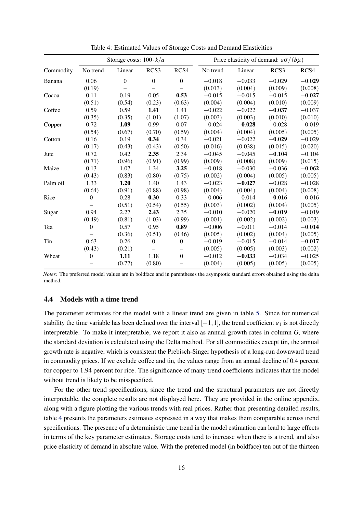|           |          | Storage costs: $100 \cdot k/a$ |          |                  | Price elasticity of demand: $a\sigma/(b\mu)$ |          |          |          |
|-----------|----------|--------------------------------|----------|------------------|----------------------------------------------|----------|----------|----------|
| Commodity | No trend | Linear                         | RCS3     | RCS4             | No trend                                     | Linear   | RCS3     | RCS4     |
| Banana    | 0.06     | $\theta$                       | $\theta$ | $\mathbf{0}$     | $-0.018$                                     | $-0.033$ | $-0.029$ | $-0.029$ |
|           | (0.19)   |                                |          |                  | (0.013)                                      | (0.004)  | (0.009)  | (0.008)  |
| Cocoa     | 0.11     | 0.19                           | 0.05     | 0.53             | $-0.015$                                     | $-0.015$ | $-0.015$ | $-0.027$ |
|           | (0.51)   | (0.54)                         | (0.23)   | (0.63)           | (0.004)                                      | (0.004)  | (0.010)  | (0.009)  |
| Coffee    | 0.59     | 0.59                           | 1.41     | 1.41             | $-0.022$                                     | $-0.022$ | $-0.037$ | $-0.037$ |
|           | (0.35)   | (0.35)                         | (1.01)   | (1.07)           | (0.003)                                      | (0.003)  | (0.010)  | (0.010)  |
| Copper    | 0.72     | 1.09                           | 0.99     | 0.07             | $-0.024$                                     | $-0.028$ | $-0.028$ | $-0.019$ |
|           | (0.54)   | (0.67)                         | (0.70)   | (0.59)           | (0.004)                                      | (0.004)  | (0.005)  | (0.005)  |
| Cotton    | 0.16     | 0.19                           | 0.34     | 0.34             | $-0.021$                                     | $-0.022$ | $-0.029$ | $-0.029$ |
|           | (0.17)   | (0.43)                         | (0.43)   | (0.50)           | (0.016)                                      | (0.038)  | (0.015)  | (0.020)  |
| Jute      | 0.72     | 0.42                           | 2.35     | 2.34             | $-0.045$                                     | $-0.045$ | $-0.104$ | $-0.104$ |
|           | (0.71)   | (0.96)                         | (0.91)   | (0.99)           | (0.009)                                      | (0.008)  | (0.009)  | (0.015)  |
| Maize     | 0.13     | 1.07                           | 1.34     | 3.25             | $-0.018$                                     | $-0.030$ | $-0.036$ | $-0.062$ |
|           | (0.43)   | (0.83)                         | (0.80)   | (0.75)           | (0.002)                                      | (0.004)  | (0.005)  | (0.005)  |
| Palm oil  | 1.33     | 1.20                           | 1.40     | 1.43             | $-0.023$                                     | $-0.027$ | $-0.028$ | $-0.028$ |
|           | (0.64)   | (0.91)                         | (0.88)   | (0.98)           | (0.004)                                      | (0.004)  | (0.004)  | (0.008)  |
| Rice      | $\theta$ | 0.28                           | 0.30     | 0.33             | $-0.006$                                     | $-0.014$ | $-0.016$ | $-0.016$ |
|           |          | (0.51)                         | (0.54)   | (0.55)           | (0.003)                                      | (0.002)  | (0.004)  | (0.005)  |
| Sugar     | 0.94     | 2.27                           | 2.43     | 2.35             | $-0.010$                                     | $-0.020$ | $-0.019$ | $-0.019$ |
|           | (0.49)   | (0.81)                         | (1.03)   | (0.99)           | (0.001)                                      | (0.002)  | (0.002)  | (0.003)  |
| Tea       | $\theta$ | 0.57                           | 0.95     | 0.89             | $-0.006$                                     | $-0.011$ | $-0.014$ | $-0.014$ |
|           |          | (0.36)                         | (0.51)   | (0.46)           | (0.005)                                      | (0.002)  | (0.004)  | (0.005)  |
| Tin       | 0.63     | 0.26                           | $\Omega$ | $\mathbf{0}$     | $-0.019$                                     | $-0.015$ | $-0.014$ | $-0.017$ |
|           | (0.43)   | (0.21)                         |          |                  | (0.005)                                      | (0.005)  | (0.003)  | (0.002)  |
| Wheat     | $\theta$ | 1.11                           | 1.18     | $\boldsymbol{0}$ | $-0.012$                                     | $-0.033$ | $-0.034$ | $-0.025$ |
|           |          | (0.77)                         | (0.80)   |                  | (0.004)                                      | (0.005)  | (0.005)  | (0.005)  |

<span id="page-16-0"></span>Table 4: Estimated Values of Storage Costs and Demand Elasticities

*Notes:* The preferred model values are in boldface and in parentheses the asymptotic standard errors obtained using the delta method.

#### 4.4 Models with a time trend

The parameter estimates for the model with a linear trend are given in table [5.](#page-17-0) Since for numerical stability the time variable has been defined over the interval  $[-1,1]$ , the trend coefficient  $g_1$  is not directly interpretable. To make it interpretable, we report it also as annual growth rates in column *G*, where the standard deviation is calculated using the Delta method. For all commodities except tin, the annual growth rate is negative, which is consistent the Prebisch-Singer hypothesis of a long-run downward trend in commodity prices. If we exclude coffee and tin, the values range from an annual decline of 0.4 percent for copper to 1.94 percent for rice. The significance of many trend coefficients indicates that the model without trend is likely to be misspecified.

For the other trend specifications, since the trend and the structural parameters are not directly interpretable, the complete results are not displayed here. They are provided in the online appendix, along with a figure plotting the various trends with real prices. Rather than presenting detailed results, table [4](#page-16-0) presents the parameters estimates expressed in a way that makes them comparable across trend specifications. The presence of a deterministic time trend in the model estimation can lead to large effects in terms of the key parameter estimates. Storage costs tend to increase when there is a trend, and also price elasticity of demand in absolute value. With the preferred model (in boldface) ten out of the thirteen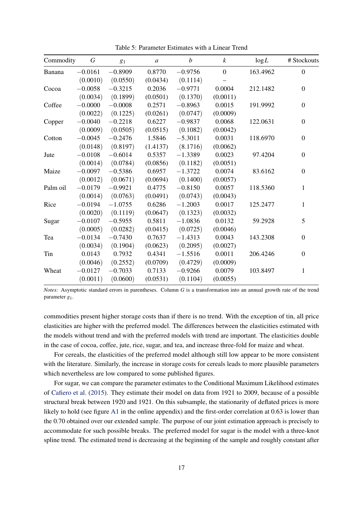| Commodity | G         | 81        | $\boldsymbol{a}$ | $\boldsymbol{b}$ | $\boldsymbol{k}$ | log L    | # Stockouts      |
|-----------|-----------|-----------|------------------|------------------|------------------|----------|------------------|
| Banana    | $-0.0161$ | $-0.8909$ | 0.8770           | $-0.9756$        | $\overline{0}$   | 163.4962 | $\boldsymbol{0}$ |
|           | (0.0010)  | (0.0550)  | (0.0434)         | (0.1114)         |                  |          |                  |
| Cocoa     | $-0.0058$ | $-0.3215$ | 0.2036           | $-0.9771$        | 0.0004           | 212.1482 | $\mathbf{0}$     |
|           | (0.0034)  | (0.1899)  | (0.0501)         | (0.1370)         | (0.0011)         |          |                  |
| Coffee    | $-0.0000$ | $-0.0008$ | 0.2571           | $-0.8963$        | 0.0015           | 191.9992 | $\boldsymbol{0}$ |
|           | (0.0022)  | (0.1225)  | (0.0261)         | (0.0747)         | (0.0009)         |          |                  |
| Copper    | $-0.0040$ | $-0.2218$ | 0.6227           | $-0.9837$        | 0.0068           | 122.0631 | $\boldsymbol{0}$ |
|           | (0.0009)  | (0.0505)  | (0.0515)         | (0.1082)         | (0.0042)         |          |                  |
| Cotton    | $-0.0045$ | $-0.2476$ | 1.5846           | $-5.3011$        | 0.0031           | 118.6970 | $\boldsymbol{0}$ |
|           | (0.0148)  | (0.8197)  | (1.4137)         | (8.1716)         | (0.0062)         |          |                  |
| Jute      | $-0.0108$ | $-0.6014$ | 0.5357           | $-1.3389$        | 0.0023           | 97.4204  | $\mathbf{0}$     |
|           | (0.0014)  | (0.0784)  | (0.0856)         | (0.1182)         | (0.0051)         |          |                  |
| Maize     | $-0.0097$ | $-0.5386$ | 0.6957           | $-1.3722$        | 0.0074           | 83.6162  | $\overline{0}$   |
|           | (0.0012)  | (0.0671)  | (0.0694)         | (0.1400)         | (0.0057)         |          |                  |
| Palm oil  | $-0.0179$ | $-0.9921$ | 0.4775           | $-0.8150$        | 0.0057           | 118.5360 | 1                |
|           | (0.0014)  | (0.0763)  | (0.0491)         | (0.0743)         | (0.0043)         |          |                  |
| Rice      | $-0.0194$ | $-1.0755$ | 0.6286           | $-1.2003$        | 0.0017           | 125.2477 | 1                |
|           | (0.0020)  | (0.1119)  | (0.0647)         | (0.1323)         | (0.0032)         |          |                  |
| Sugar     | $-0.0107$ | $-0.5955$ | 0.5811           | $-1.0836$        | 0.0132           | 59.2928  | 5                |
|           | (0.0005)  | (0.0282)  | (0.0415)         | (0.0725)         | (0.0046)         |          |                  |
| Tea       | $-0.0134$ | $-0.7430$ | 0.7637           | $-1.4313$        | 0.0043           | 143.2308 | $\boldsymbol{0}$ |
|           | (0.0034)  | (0.1904)  | (0.0623)         | (0.2095)         | (0.0027)         |          |                  |
| Tin       | 0.0143    | 0.7932    | 0.4341           | $-1.5516$        | 0.0011           | 206.4246 | $\mathbf{0}$     |
|           | (0.0046)  | (0.2552)  | (0.0709)         | (0.4729)         | (0.0009)         |          |                  |
| Wheat     | $-0.0127$ | $-0.7033$ | 0.7133           | $-0.9266$        | 0.0079           | 103.8497 | 1                |
|           | (0.0011)  | (0.0600)  | (0.0531)         | (0.1104)         | (0.0055)         |          |                  |

<span id="page-17-0"></span>Table 5: Parameter Estimates with a Linear Trend

*Notes:* Asymptotic standard errors in parentheses. Column *G* is a transformation into an annual growth rate of the trend parameter *g*1.

commodities present higher storage costs than if there is no trend. With the exception of tin, all price elasticities are higher with the preferred model. The differences between the elasticities estimated with the models without trend and with the preferred models with trend are important. The elasticities double in the case of cocoa, coffee, jute, rice, sugar, and tea, and increase three-fold for maize and wheat.

For cereals, the elasticities of the preferred model although still low appear to be more consistent with the literature. Similarly, the increase in storage costs for cereals leads to more plausible parameters which nevertheless are low compared to some published figures.

For sugar, we can compare the parameter estimates to the Conditional Maximum Likelihood estimates of [Cafiero et al.](#page-21-2) [\(2015\)](#page-21-2). They estimate their model on data from 1921 to 2009, because of a possible structural break between 1920 and 1921. On this subsample, the stationarity of deflated prices is more likely to hold (see figure [A1](#page-7-1) in the online appendix) and the first-order correlation at 0.63 is lower than the 0.70 obtained over our extended sample. The purpose of our joint estimation approach is precisely to accommodate for such possible breaks. The preferred model for sugar is the model with a three-knot spline trend. The estimated trend is decreasing at the beginning of the sample and roughly constant after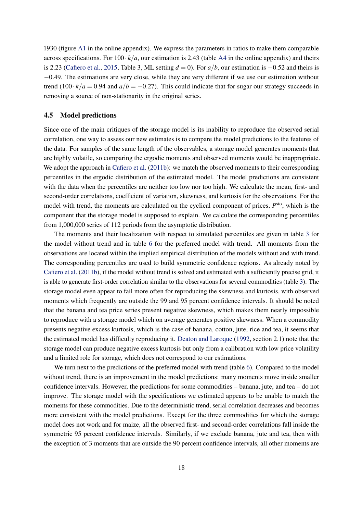1930 (figure [A1](#page-7-1) in the online appendix). We express the parameters in ratios to make them comparable across specifications. For  $100 \cdot k/a$ , our estimation is 2.43 (table [A4](#page-16-0) in the online appendix) and theirs is 2.23 [\(Cafiero et al.,](#page-21-2) [2015,](#page-21-2) Table 3, ML setting  $d = 0$ ). For  $a/b$ , our estimation is  $-0.52$  and theirs is −0.49. The estimations are very close, while they are very different if we use our estimation without trend  $(100 \cdot k/a = 0.94$  and  $a/b = -0.27$ ). This could indicate that for sugar our strategy succeeds in removing a source of non-stationarity in the original series.

#### 4.5 Model predictions

Since one of the main critiques of the storage model is its inability to reproduce the observed serial correlation, one way to assess our new estimates is to compare the model predictions to the features of the data. For samples of the same length of the observables, a storage model generates moments that are highly volatile, so comparing the ergodic moments and observed moments would be inappropriate. We adopt the approach in [Cafiero et al.](#page-21-0) [\(2011b\)](#page-21-0): we match the observed moments to their corresponding percentiles in the ergodic distribution of the estimated model. The model predictions are consistent with the data when the percentiles are neither too low nor too high. We calculate the mean, first- and second-order correlations, coefficient of variation, skewness, and kurtosis for the observations. For the model with trend, the moments are calculated on the cyclical component of prices,  $P<sup>sto</sup>$ , which is the component that the storage model is supposed to explain. We calculate the corresponding percentiles from 1,000,000 series of 112 periods from the asymptotic distribution.

The moments and their localization with respect to simulated percentiles are given in table [3](#page-14-0) for the model without trend and in table [6](#page-19-0) for the preferred model with trend. All moments from the observations are located within the implied empirical distribution of the models without and with trend. The corresponding percentiles are used to build symmetric confidence regions. As already noted by [Cafiero et al.](#page-21-0) [\(2011b\)](#page-21-0), if the model without trend is solved and estimated with a sufficiently precise grid, it is able to generate first-order correlation similar to the observations for several commodities (table [3\)](#page-14-0). The storage model even appear to fail more often for reproducing the skewness and kurtosis, with observed moments which frequently are outside the 99 and 95 percent confidence intervals. It should be noted that the banana and tea price series present negative skewness, which makes them nearly impossible to reproduce with a storage model which on average generates positive skewness. When a commodity presents negative excess kurtosis, which is the case of banana, cotton, jute, rice and tea, it seems that the estimated model has difficulty reproducing it. [Deaton and Laroque](#page-22-1) [\(1992,](#page-22-1) section 2.1) note that the storage model can produce negative excess kurtosis but only from a calibration with low price volatility and a limited role for storage, which does not correspond to our estimations.

We turn next to the predictions of the preferred model with trend (table [6\)](#page-19-0). Compared to the model without trend, there is an improvement in the model predictions: many moments move inside smaller confidence intervals. However, the predictions for some commodities – banana, jute, and tea – do not improve. The storage model with the specifications we estimated appears to be unable to match the moments for these commodities. Due to the deterministic trend, serial correlation decreases and becomes more consistent with the model predictions. Except for the three commodities for which the storage model does not work and for maize, all the observed first- and second-order correlations fall inside the symmetric 95 percent confidence intervals. Similarly, if we exclude banana, jute and tea, then with the exception of 3 moments that are outside the 90 percent confidence intervals, all other moments are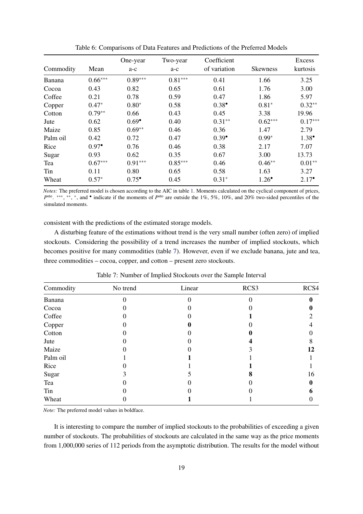| Commodity | Mean             | One-year<br>a-c  | Two-year<br>a-c | Coefficient<br>of variation | <b>Skewness</b>  | <b>Excess</b><br>kurtosis |
|-----------|------------------|------------------|-----------------|-----------------------------|------------------|---------------------------|
|           |                  |                  |                 |                             |                  |                           |
| Banana    | $0.66***$        | $0.89***$        | $0.81***$       | 0.41                        | 1.66             | 3.25                      |
| Cocoa     | 0.43             | 0.82             | 0.65            | 0.61                        | 1.76             | 3.00                      |
| Coffee    | 0.21             | 0.78             | 0.59            | 0.47                        | 1.86             | 5.97                      |
| Copper    | $0.47*$          | $0.80*$          | 0.58            | $0.38^{\bullet}$            | $0.81*$          | $0.32**$                  |
| Cotton    | $0.79**$         | 0.66             | 0.43            | 0.45                        | 3.38             | 19.96                     |
| Jute      | 0.62             | $0.69^{\bullet}$ | 0.40            | $0.31**$                    | $0.62***$        | $0.17***$                 |
| Maize     | 0.85             | $0.69**$         | 0.46            | 0.36                        | 1.47             | 2.79                      |
| Palm oil  | 0.42             | 0.72             | 0.47            | $0.39^{\bullet}$            | $0.99*$          | $1.38^{\bullet}$          |
| Rice      | $0.97^{\bullet}$ | 0.76             | 0.46            | 0.38                        | 2.17             | 7.07                      |
| Sugar     | 0.93             | 0.62             | 0.35            | 0.67                        | 3.00             | 13.73                     |
| Tea       | $0.67***$        | $0.91***$        | $0.85***$       | 0.46                        | $0.46**$         | $0.01**$                  |
| Tin       | 0.11             | 0.80             | 0.65            | 0.58                        | 1.63             | 3.27                      |
| Wheat     | $0.57*$          | $0.75^{\circ}$   | 0.45            | $0.31*$                     | $1.26^{\bullet}$ | $2.17^{\circ}$            |

<span id="page-19-0"></span>Table 6: Comparisons of Data Features and Predictions of the Preferred Models

*Notes:* The preferred model is chosen according to the AIC in table [1.](#page-12-1) Moments calculated on the cyclical component of prices, *P*<sup>sto</sup>. \*\*\*, \*\*, \*, and • indicate if the moments of *P*<sup>sto</sup> are outside the 1%, 5%, 10%, and 20% two-sided percentiles of the simulated moments.

consistent with the predictions of the estimated storage models.

A disturbing feature of the estimations without trend is the very small number (often zero) of implied stockouts. Considering the possibility of a trend increases the number of implied stockouts, which becomes positive for many commodities (table [7\)](#page-19-1). However, even if we exclude banana, jute and tea, three commodities – cocoa, copper, and cotton – present zero stockouts.

| Commodity | No trend | Linear | RCS3 | RCS4 |
|-----------|----------|--------|------|------|
| Banana    |          |        |      |      |
| Cocoa     |          |        |      |      |
| Coffee    |          |        |      |      |
| Copper    |          |        |      |      |
| Cotton    |          |        |      |      |
| Jute      |          |        |      |      |
| Maize     |          |        |      | 12   |
| Palm oil  |          |        |      |      |
| Rice      |          |        |      |      |
| Sugar     |          |        |      | 16   |
| Tea       |          |        |      |      |
| Tin       |          |        |      |      |
| Wheat     |          |        |      |      |

<span id="page-19-1"></span>Table 7: Number of Implied Stockouts over the Sample Interval

*Note:* The preferred model values in boldface.

It is interesting to compare the number of implied stockouts to the probabilities of exceeding a given number of stockouts. The probabilities of stockouts are calculated in the same way as the price moments from 1,000,000 series of 112 periods from the asymptotic distribution. The results for the model without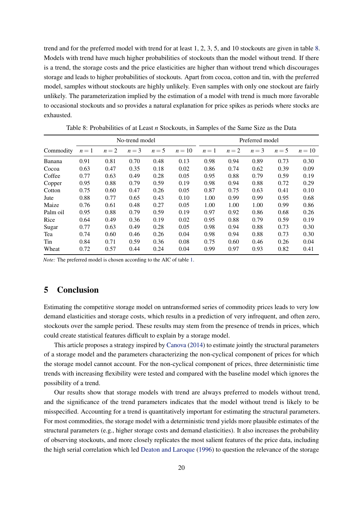trend and for the preferred model with trend for at least 1, 2, 3, 5, and 10 stockouts are given in table [8.](#page-20-1) Models with trend have much higher probabilities of stockouts than the model without trend. If there is a trend, the storage costs and the price elasticities are higher than without trend which discourages storage and leads to higher probabilities of stockouts. Apart from cocoa, cotton and tin, with the preferred model, samples without stockouts are highly unlikely. Even samples with only one stockout are fairly unlikely. The parameterization implied by the estimation of a model with trend is much more favorable to occasional stockouts and so provides a natural explanation for price spikes as periods where stocks are exhausted.

|           | No-trend model |       |       |       |        | Preferred model |       |       |       |        |
|-----------|----------------|-------|-------|-------|--------|-----------------|-------|-------|-------|--------|
| Commodity | $n=1$          | $n=2$ | $n=3$ | $n=5$ | $n=10$ | $n=1$           | $n=2$ | $n=3$ | $n=5$ | $n=10$ |
| Banana    | 0.91           | 0.81  | 0.70  | 0.48  | 0.13   | 0.98            | 0.94  | 0.89  | 0.73  | 0.30   |
| Cocoa     | 0.63           | 0.47  | 0.35  | 0.18  | 0.02   | 0.86            | 0.74  | 0.62  | 0.39  | 0.09   |
| Coffee    | 0.77           | 0.63  | 0.49  | 0.28  | 0.05   | 0.95            | 0.88  | 0.79  | 0.59  | 0.19   |
| Copper    | 0.95           | 0.88  | 0.79  | 0.59  | 0.19   | 0.98            | 0.94  | 0.88  | 0.72  | 0.29   |
| Cotton    | 0.75           | 0.60  | 0.47  | 0.26  | 0.05   | 0.87            | 0.75  | 0.63  | 0.41  | 0.10   |
| Jute      | 0.88           | 0.77  | 0.65  | 0.43  | 0.10   | 1.00            | 0.99  | 0.99  | 0.95  | 0.68   |
| Maize     | 0.76           | 0.61  | 0.48  | 0.27  | 0.05   | 1.00            | 1.00  | 1.00  | 0.99  | 0.86   |
| Palm oil  | 0.95           | 0.88  | 0.79  | 0.59  | 0.19   | 0.97            | 0.92  | 0.86  | 0.68  | 0.26   |
| Rice      | 0.64           | 0.49  | 0.36  | 0.19  | 0.02   | 0.95            | 0.88  | 0.79  | 0.59  | 0.19   |
| Sugar     | 0.77           | 0.63  | 0.49  | 0.28  | 0.05   | 0.98            | 0.94  | 0.88  | 0.73  | 0.30   |
| Tea       | 0.74           | 0.60  | 0.46  | 0.26  | 0.04   | 0.98            | 0.94  | 0.88  | 0.73  | 0.30   |
| Tin       | 0.84           | 0.71  | 0.59  | 0.36  | 0.08   | 0.75            | 0.60  | 0.46  | 0.26  | 0.04   |
| Wheat     | 0.72           | 0.57  | 0.44  | 0.24  | 0.04   | 0.99            | 0.97  | 0.93  | 0.82  | 0.41   |

<span id="page-20-1"></span>Table 8: Probabilities of at Least *n* Stockouts, in Samples of the Same Size as the Data

*Note:* The preferred model is chosen according to the AIC of table [1.](#page-12-1)

#### <span id="page-20-0"></span>5 Conclusion

Estimating the competitive storage model on untransformed series of commodity prices leads to very low demand elasticities and storage costs, which results in a prediction of very infrequent, and often zero, stockouts over the sample period. These results may stem from the presence of trends in prices, which could create statistical features difficult to explain by a storage model.

This article proposes a strategy inspired by [Canova](#page-22-8) [\(2014\)](#page-22-8) to estimate jointly the structural parameters of a storage model and the parameters characterizing the non-cyclical component of prices for which the storage model cannot account. For the non-cyclical component of prices, three deterministic time trends with increasing flexibility were tested and compared with the baseline model which ignores the possibility of a trend.

Our results show that storage models with trend are always preferred to models without trend, and the significance of the trend parameters indicates that the model without trend is likely to be misspecified. Accounting for a trend is quantitatively important for estimating the structural parameters. For most commodities, the storage model with a deterministic trend yields more plausible estimates of the structural parameters (e.g., higher storage costs and demand elasticities). It also increases the probability of observing stockouts, and more closely replicates the most salient features of the price data, including the high serial correlation which led [Deaton and Laroque](#page-22-2) [\(1996\)](#page-22-2) to question the relevance of the storage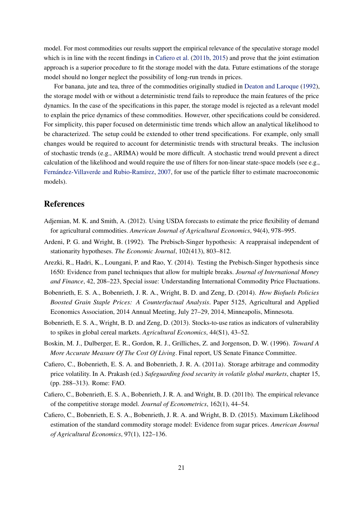model. For most commodities our results support the empirical relevance of the speculative storage model which is in line with the recent findings in [Cafiero et al.](#page-21-0) [\(2011b,](#page-21-0) [2015\)](#page-21-2) and prove that the joint estimation approach is a superior procedure to fit the storage model with the data. Future estimations of the storage model should no longer neglect the possibility of long-run trends in prices.

For banana, jute and tea, three of the commodities originally studied in [Deaton and Laroque](#page-22-1) [\(1992\)](#page-22-1), the storage model with or without a deterministic trend fails to reproduce the main features of the price dynamics. In the case of the specifications in this paper, the storage model is rejected as a relevant model to explain the price dynamics of these commodities. However, other specifications could be considered. For simplicity, this paper focused on deterministic time trends which allow an analytical likelihood to be characterized. The setup could be extended to other trend specifications. For example, only small changes would be required to account for deterministic trends with structural breaks. The inclusion of stochastic trends (e.g., ARIMA) would be more difficult. A stochastic trend would prevent a direct calculation of the likelihood and would require the use of filters for non-linear state-space models (see e.g., [Fernández-Villaverde and Rubio-Ramírez,](#page-22-13) [2007,](#page-22-13) for use of the particle filter to estimate macroeconomic models).

#### References

- <span id="page-21-8"></span>Adjemian, M. K. and Smith, A. (2012). Using USDA forecasts to estimate the price flexibility of demand for agricultural commodities. *American Journal of Agricultural Economics*, 94(4), 978–995.
- <span id="page-21-3"></span>Ardeni, P. G. and Wright, B. (1992). The Prebisch-Singer hypothesis: A reappraisal independent of stationarity hypotheses. *The Economic Journal*, 102(413), 803–812.
- <span id="page-21-7"></span>Arezki, R., Hadri, K., Loungani, P. and Rao, Y. (2014). Testing the Prebisch-Singer hypothesis since 1650: Evidence from panel techniques that allow for multiple breaks. *Journal of International Money and Finance*, 42, 208–223, Special issue: Understanding International Commodity Price Fluctuations.
- <span id="page-21-5"></span>Bobenrieth, E. S. A., Bobenrieth, J. R. A., Wright, B. D. and Zeng, D. (2014). *How Biofuels Policies Boosted Grain Staple Prices: A Counterfactual Analysis*. Paper 5125, Agricultural and Applied Economics Association, 2014 Annual Meeting, July 27–29, 2014, Minneapolis, Minnesota.
- <span id="page-21-1"></span>Bobenrieth, E. S. A., Wright, B. D. and Zeng, D. (2013). Stocks-to-use ratios as indicators of vulnerability to spikes in global cereal markets. *Agricultural Economics*, 44(S1), 43–52.
- <span id="page-21-6"></span>Boskin, M. J., Dulberger, E. R., Gordon, R. J., Grilliches, Z. and Jorgenson, D. W. (1996). *Toward A More Accurate Measure Of The Cost Of Living*. Final report, US Senate Finance Committee.
- <span id="page-21-4"></span>Cafiero, C., Bobenrieth, E. S. A. and Bobenrieth, J. R. A. (2011a). Storage arbitrage and commodity price volatility. In A. Prakash (ed.) *Safeguarding food security in volatile global markets*, chapter 15, (pp. 288–313). Rome: FAO.
- <span id="page-21-0"></span>Cafiero, C., Bobenrieth, E. S. A., Bobenrieth, J. R. A. and Wright, B. D. (2011b). The empirical relevance of the competitive storage model. *Journal of Econometrics*, 162(1), 44–54.
- <span id="page-21-2"></span>Cafiero, C., Bobenrieth, E. S. A., Bobenrieth, J. R. A. and Wright, B. D. (2015). Maximum Likelihood estimation of the standard commodity storage model: Evidence from sugar prices. *American Journal of Agricultural Economics*, 97(1), 122–136.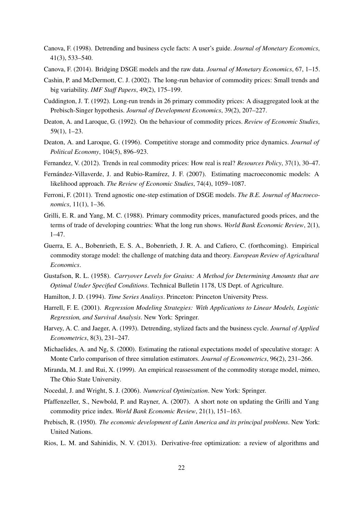- <span id="page-22-10"></span>Canova, F. (1998). Detrending and business cycle facts: A user's guide. *Journal of Monetary Economics*, 41(3), 533–540.
- <span id="page-22-8"></span>Canova, F. (2014). Bridging DSGE models and the raw data. *Journal of Monetary Economics*, 67, 1–15.
- <span id="page-22-7"></span>Cashin, P. and McDermott, C. J. (2002). The long-run behavior of commodity prices: Small trends and big variability. *IMF Staff Papers*, 49(2), 175–199.
- <span id="page-22-6"></span>Cuddington, J. T. (1992). Long-run trends in 26 primary commodity prices: A disaggregated look at the Prebisch-Singer hypothesis. *Journal of Development Economics*, 39(2), 207–227.
- <span id="page-22-1"></span>Deaton, A. and Laroque, G. (1992). On the behaviour of commodity prices. *Review of Economic Studies*, 59(1), 1–23.
- <span id="page-22-2"></span>Deaton, A. and Laroque, G. (1996). Competitive storage and commodity price dynamics. *Journal of Political Economy*, 104(5), 896–923.
- <span id="page-22-11"></span>Fernandez, V. (2012). Trends in real commodity prices: How real is real? *Resources Policy*, 37(1), 30–47.
- <span id="page-22-13"></span>Fernández-Villaverde, J. and Rubio-Ramírez, J. F. (2007). Estimating macroeconomic models: A likelihood approach. *The Review of Economic Studies*, 74(4), 1059–1087.
- <span id="page-22-12"></span>Ferroni, F. (2011). Trend agnostic one-step estimation of DSGE models. *The B.E. Journal of Macroeconomics*, 11(1), 1–36.
- <span id="page-22-5"></span>Grilli, E. R. and Yang, M. C. (1988). Primary commodity prices, manufactured goods prices, and the terms of trade of developing countries: What the long run shows. *World Bank Economic Review*, 2(1), 1–47.
- <span id="page-22-3"></span>Guerra, E. A., Bobenrieth, E. S. A., Bobenrieth, J. R. A. and Cafiero, C. (forthcoming). Empirical commodity storage model: the challenge of matching data and theory. *European Review of Agricultural Economics*.
- <span id="page-22-0"></span>Gustafson, R. L. (1958). *Carryover Levels for Grains: A Method for Determining Amounts that are Optimal Under Specified Conditions*. Technical Bulletin 1178, US Dept. of Agriculture.
- <span id="page-22-16"></span>Hamilton, J. D. (1994). *Time Series Analisys*. Princeton: Princeton University Press.
- <span id="page-22-14"></span>Harrell, F. E. (2001). *Regression Modeling Strategies: With Applications to Linear Models, Logistic Regression, and Survival Analysis*. New York: Springer.
- <span id="page-22-9"></span>Harvey, A. C. and Jaeger, A. (1993). Detrending, stylized facts and the business cycle. *Journal of Applied Econometrics*, 8(3), 231–247.
- <span id="page-22-17"></span>Michaelides, A. and Ng, S. (2000). Estimating the rational expectations model of speculative storage: A Monte Carlo comparison of three simulation estimators. *Journal of Econometrics*, 96(2), 231–266.
- <span id="page-22-15"></span>Miranda, M. J. and Rui, X. (1999). An empirical reassessment of the commodity storage model, mimeo, The Ohio State University.
- <span id="page-22-19"></span>Nocedal, J. and Wright, S. J. (2006). *Numerical Optimization*. New York: Springer.
- <span id="page-22-20"></span>Pfaffenzeller, S., Newbold, P. and Rayner, A. (2007). A short note on updating the Grilli and Yang commodity price index. *World Bank Economic Review*, 21(1), 151–163.
- <span id="page-22-4"></span>Prebisch, R. (1950). *The economic development of Latin America and its principal problems*. New York: United Nations.
- <span id="page-22-18"></span>Rios, L. M. and Sahinidis, N. V. (2013). Derivative-free optimization: a review of algorithms and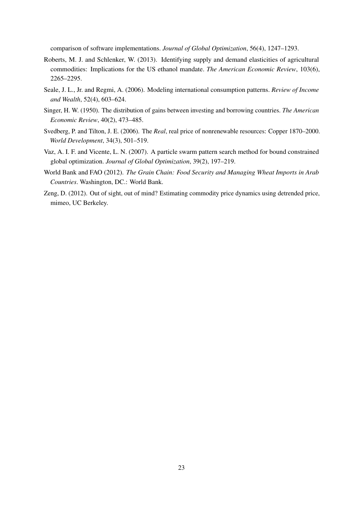comparison of software implementations. *Journal of Global Optimization*, 56(4), 1247–1293.

- <span id="page-23-3"></span>Roberts, M. J. and Schlenker, W. (2013). Identifying supply and demand elasticities of agricultural commodities: Implications for the US ethanol mandate. *The American Economic Review*, 103(6), 2265–2295.
- <span id="page-23-6"></span>Seale, J. L., Jr. and Regmi, A. (2006). Modeling international consumption patterns. *Review of Income and Wealth*, 52(4), 603–624.
- <span id="page-23-0"></span>Singer, H. W. (1950). The distribution of gains between investing and borrowing countries. *The American Economic Review*, 40(2), 473–485.
- <span id="page-23-2"></span>Svedberg, P. and Tilton, J. E. (2006). The *Real*, real price of nonrenewable resources: Copper 1870–2000. *World Development*, 34(3), 501–519.
- <span id="page-23-4"></span>Vaz, A. I. F. and Vicente, L. N. (2007). A particle swarm pattern search method for bound constrained global optimization. *Journal of Global Optimization*, 39(2), 197–219.
- <span id="page-23-5"></span>World Bank and FAO (2012). *The Grain Chain: Food Security and Managing Wheat Imports in Arab Countries*. Washington, DC.: World Bank.
- <span id="page-23-1"></span>Zeng, D. (2012). Out of sight, out of mind? Estimating commodity price dynamics using detrended price, mimeo, UC Berkeley.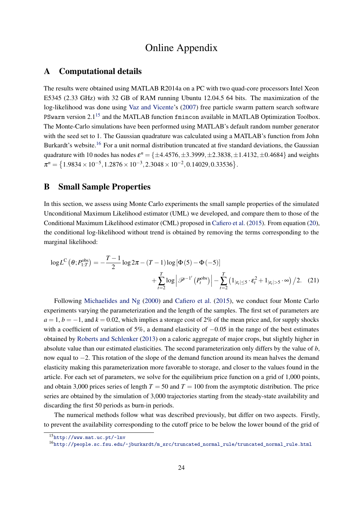### Online Appendix

#### A Computational details

The results were obtained using MATLAB R2014a on a PC with two quad-core processors Intel Xeon E5345 (2.33 GHz) with 32 GB of RAM running Ubuntu 12.04.5 64 bits. The maximization of the log-likelihood was done using [Vaz and Vicente'](#page-23-4)s [\(2007\)](#page-23-4) free particle swarm pattern search software PSwarm version 2.1<sup>[15](#page-24-1)</sup> and the MATLAB function fmincon available in MATLAB Optimization Toolbox. The Monte-Carlo simulations have been performed using MATLAB's default random number generator with the seed set to 1. The Gaussian quadrature was calculated using a MATLAB's function from John Burkardt's website.<sup>[16](#page-24-2)</sup> For a unit normal distribution truncated at five standard deviations, the Gaussian quadrature with 10 nodes has nodes  $\varepsilon^n = \{\pm 4.4576, \pm 3.3999, \pm 2.3838, \pm 1.4132, \pm 0.4684\}$  and weights  $\pi^n = \left\{1.9834 \times 10^{-5}, 1.2876 \times 10^{-3}, 2.3048 \times 10^{-2}, 0.14029, 0.33536\right\}.$ 

#### <span id="page-24-0"></span>B Small Sample Properties

In this section, we assess using Monte Carlo experiments the small sample properties of the simulated Unconditional Maximum Likelihood estimator (UML) we developed, and compare them to those of the Conditional Maximum Likelihood estimator (CML) proposed in [Cafiero et al.](#page-21-2) [\(2015\)](#page-21-2). From equation [\(20\)](#page-10-1), the conditional log-likelihood without trend is obtained by removing the terms corresponding to the marginal likelihood:

$$
\log L^{C}\left(\theta; P_{1:T}^{\text{obs}}\right) = -\frac{T-1}{2}\log 2\pi - (T-1)\log \left[\Phi\left(\frac{5}{2}\right) - \Phi\left(-\frac{5}{2}\right)\right] + \sum_{t=2}^{T} \log \left|\mathcal{P}^{-1'}\left(P_{t}^{\text{obs}}\right)\right| - \sum_{t=2}^{T} \left(1_{|\varepsilon_{t}| \leq 5} \cdot \varepsilon_{t}^{2} + 1_{|\varepsilon_{t}| > 5} \cdot \infty\right) / 2. (21)
$$

Following [Michaelides and Ng](#page-22-17) [\(2000\)](#page-22-17) and [Cafiero et al.](#page-21-2) [\(2015\)](#page-21-2), we conduct four Monte Carlo experiments varying the parameterization and the length of the samples. The first set of parameters are  $a = 1, b = -1$ , and  $k = 0.02$ , which implies a storage cost of 2% of the mean price and, for supply shocks with a coefficient of variation of 5%, a demand elasticity of  $-0.05$  in the range of the best estimates obtained by [Roberts and Schlenker](#page-23-3) [\(2013\)](#page-23-3) on a caloric aggregate of major crops, but slightly higher in absolute value than our estimated elasticities. The second parameterization only differs by the value of *b*, now equal to −2. This rotation of the slope of the demand function around its mean halves the demand elasticity making this parameterization more favorable to storage, and closer to the values found in the article. For each set of parameters, we solve for the equilibrium price function on a grid of 1,000 points, and obtain 3,000 prices series of length  $T = 50$  and  $T = 100$  from the asymptotic distribution. The price series are obtained by the simulation of 3,000 trajectories starting from the steady-state availability and discarding the first 50 periods as burn-in periods.

The numerical methods follow what was described previously, but differ on two aspects. Firstly, to prevent the availability corresponding to the cutoff price to be below the lower bound of the grid of

<span id="page-24-1"></span><sup>15</sup><http://www.mat.uc.pt/~lnv>

<span id="page-24-2"></span><sup>16</sup>[http://people.sc.fsu.edu/~jburkardt/m\\_src/truncated\\_normal\\_rule/truncated\\_normal\\_rule.html](http://people.sc.fsu.edu/~jburkardt/m_src/truncated_normal_rule/truncated_normal_rule.html)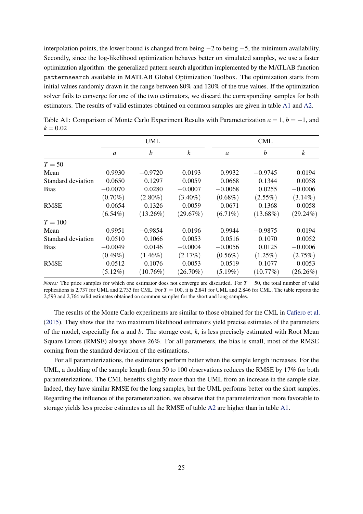interpolation points, the lower bound is changed from being −2 to being −5, the minimum availability. Secondly, since the log-likelihood optimization behaves better on simulated samples, we use a faster optimization algorithm: the generalized pattern search algorithm implemented by the MATLAB function patternsearch available in MATLAB Global Optimization Toolbox. The optimization starts from initial values randomly drawn in the range between 80% and 120% of the true values. If the optimization solver fails to converge for one of the two estimators, we discard the corresponding samples for both estimators. The results of valid estimates obtained on common samples are given in table [A1](#page-12-1) and [A2.](#page-13-0)

|                    |               | <b>UML</b>  |                  |               | <b>CML</b>       |                  |
|--------------------|---------------|-------------|------------------|---------------|------------------|------------------|
|                    | $\mathfrak a$ | b           | $\boldsymbol{k}$ | $\mathfrak a$ | $\boldsymbol{b}$ | $\boldsymbol{k}$ |
| $T=50$             |               |             |                  |               |                  |                  |
| Mean               | 0.9930        | $-0.9720$   | 0.0193           | 0.9932        | $-0.9745$        | 0.0194           |
| Standard deviation | 0.0650        | 0.1297      | 0.0059           | 0.0668        | 0.1344           | 0.0058           |
| <b>Bias</b>        | $-0.0070$     | 0.0280      | $-0.0007$        | $-0.0068$     | 0.0255           | $-0.0006$        |
|                    | $(0.70\%)$    | $(2.80\%)$  | $(3.40\%)$       | $(0.68\%)$    | $(2.55\%)$       | $(3.14\%)$       |
| <b>RMSE</b>        | 0.0654        | 0.1326      | 0.0059           | 0.0671        | 0.1368           | 0.0058           |
|                    | $(6.54\%)$    | $(13.26\%)$ | (29.67%)         | $(6.71\%)$    | $(13.68\%)$      | $(29.24\%)$      |
| $T=100$            |               |             |                  |               |                  |                  |
| Mean               | 0.9951        | $-0.9854$   | 0.0196           | 0.9944        | $-0.9875$        | 0.0194           |
| Standard deviation | 0.0510        | 0.1066      | 0.0053           | 0.0516        | 0.1070           | 0.0052           |
| <b>Bias</b>        | $-0.0049$     | 0.0146      | $-0.0004$        | $-0.0056$     | 0.0125           | $-0.0006$        |
|                    | $(0.49\%)$    | $(1.46\%)$  | (2.17%)          | $(0.56\%)$    | $(1.25\%)$       | (2.75%)          |
| <b>RMSE</b>        | 0.0512        | 0.1076      | 0.0053           | 0.0519        | 0.1077           | 0.0053           |
|                    | $(5.12\%)$    | $(10.76\%)$ | $(26.70\%)$      | $(5.19\%)$    | (10.77%)         | $(26.26\%)$      |

Table A1: Comparison of Monte Carlo Experiment Results with Parameterization  $a = 1, b = -1$ , and  $k = 0.02$ 

*Notes:* The price samples for which one estimator does not converge are discarded. For  $T = 50$ , the total number of valid replications is 2,737 for UML and 2,733 for CML. For *T* = 100, it is 2,841 for UML and 2,846 for CML. The table reports the 2,593 and 2,764 valid estimates obtained on common samples for the short and long samples.

The results of the Monte Carlo experiments are similar to those obtained for the CML in [Cafiero et al.](#page-21-2) [\(2015\)](#page-21-2). They show that the two maximum likelihood estimators yield precise estimates of the parameters of the model, especially for *a* and *b*. The storage cost, *k*, is less precisely estimated with Root Mean Square Errors (RMSE) always above 26%. For all parameters, the bias is small, most of the RMSE coming from the standard deviation of the estimations.

For all parameterizations, the estimators perform better when the sample length increases. For the UML, a doubling of the sample length from 50 to 100 observations reduces the RMSE by 17% for both parameterizations. The CML benefits slightly more than the UML from an increase in the sample size. Indeed, they have similar RMSE for the long samples, but the UML performs better on the short samples. Regarding the influence of the parameterization, we observe that the parameterization more favorable to storage yields less precise estimates as all the RMSE of table [A2](#page-13-0) are higher than in table [A1.](#page-12-1)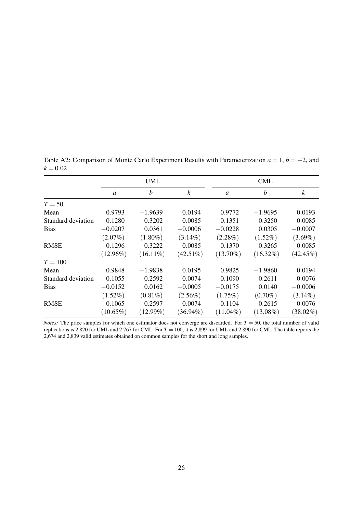|                    |               | <b>UML</b>       |                  |                | <b>CML</b>       |                  |
|--------------------|---------------|------------------|------------------|----------------|------------------|------------------|
|                    | $\mathfrak a$ | $\boldsymbol{b}$ | $\boldsymbol{k}$ | $\mathfrak{a}$ | $\boldsymbol{b}$ | $\boldsymbol{k}$ |
| $T=50$             |               |                  |                  |                |                  |                  |
| Mean               | 0.9793        | $-1.9639$        | 0.0194           | 0.9772         | $-1.9695$        | 0.0193           |
| Standard deviation | 0.1280        | 0.3202           | 0.0085           | 0.1351         | 0.3250           | 0.0085           |
| <b>Bias</b>        | $-0.0207$     | 0.0361           | $-0.0006$        | $-0.0228$      | 0.0305           | $-0.0007$        |
|                    | $(2.07\%)$    | $(1.80\%)$       | $(3.14\%)$       | $(2.28\%)$     | $(1.52\%)$       | $(3.69\%)$       |
| <b>RMSE</b>        | 0.1296        | 0.3222           | 0.0085           | 0.1370         | 0.3265           | 0.0085           |
|                    | $(12.96\%)$   | $(16.11\%)$      | $(42.51\%)$      | $(13.70\%)$    | $(16.32\%)$      | $(42.45\%)$      |
| $T = 100$          |               |                  |                  |                |                  |                  |
| Mean               | 0.9848        | $-1.9838$        | 0.0195           | 0.9825         | $-1.9860$        | 0.0194           |
| Standard deviation | 0.1055        | 0.2592           | 0.0074           | 0.1090         | 0.2611           | 0.0076           |
| <b>Bias</b>        | $-0.0152$     | 0.0162           | $-0.0005$        | $-0.0175$      | 0.0140           | $-0.0006$        |
|                    | $(1.52\%)$    | $(0.81\%)$       | $(2.56\%)$       | $(1.75\%)$     | $(0.70\%)$       | $(3.14\%)$       |
| <b>RMSE</b>        | 0.1065        | 0.2597           | 0.0074           | 0.1104         | 0.2615           | 0.0076           |
|                    | $(10.65\%)$   | $(12.99\%)$      | $(36.94\%)$      | $(11.04\%)$    | $(13.08\%)$      | $(38.02\%)$      |

Table A2: Comparison of Monte Carlo Experiment Results with Parameterization *a* = 1, *b* = −2, and  $k = 0.02$ 

*Notes:* The price samples for which one estimator does not converge are discarded. For  $T = 50$ , the total number of valid replications is 2,820 for UML and 2,767 for CML. For *T* = 100, it is 2,899 for UML and 2,890 for CML. The table reports the 2,674 and 2,839 valid estimates obtained on common samples for the short and long samples.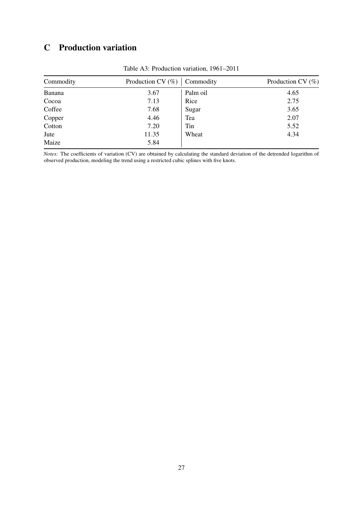### C Production variation

| Commodity | Production CV $(\%)$ | Commodity | Production CV $(\%)$ |
|-----------|----------------------|-----------|----------------------|
| Banana    | 3.67                 | Palm oil  | 4.65                 |
| Cocoa     | 7.13                 | Rice      | 2.75                 |
| Coffee    | 7.68                 | Sugar     | 3.65                 |
| Copper    | 4.46                 | Tea       | 2.07                 |
| Cotton    | 7.20                 | Tin       | 5.52                 |
| Jute      | 11.35                | Wheat     | 4.34                 |
| Maize     | 5.84                 |           |                      |

Table A3: Production variation, 1961–2011

*Notes:* The coefficients of variation (CV) are obtained by calculating the standard deviation of the detrended logarithm of observed production, modeling the trend using a restricted cubic splines with five knots.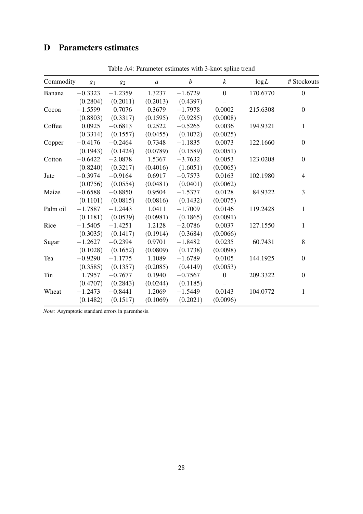### D Parameters estimates

| Commodity | $g_1$     | 82        | $\boldsymbol{a}$ | $\boldsymbol{b}$ | $\boldsymbol{k}$ | log L    | # Stockouts  |
|-----------|-----------|-----------|------------------|------------------|------------------|----------|--------------|
| Banana    | $-0.3323$ | $-1.2359$ | 1.3237           | $-1.6729$        | $\boldsymbol{0}$ | 170.6770 | $\mathbf{0}$ |
|           | (0.2804)  | (0.2011)  | (0.2013)         | (0.4397)         |                  |          |              |
| Cocoa     | $-1.5599$ | 0.7076    | 0.3679           | $-1.7978$        | 0.0002           | 215.6308 | $\mathbf{0}$ |
|           | (0.8803)  | (0.3317)  | (0.1595)         | (0.9285)         | (0.0008)         |          |              |
| Coffee    | 0.0925    | $-0.6813$ | 0.2522           | $-0.5265$        | 0.0036           | 194.9321 | $\mathbf{1}$ |
|           | (0.3314)  | (0.1557)  | (0.0455)         | (0.1072)         | (0.0025)         |          |              |
| Copper    | $-0.4176$ | $-0.2464$ | 0.7348           | $-1.1835$        | 0.0073           | 122.1660 | $\mathbf{0}$ |
|           | (0.1943)  | (0.1424)  | (0.0789)         | (0.1589)         | (0.0051)         |          |              |
| Cotton    | $-0.6422$ | $-2.0878$ | 1.5367           | $-3.7632$        | 0.0053           | 123.0208 | $\mathbf{0}$ |
|           | (0.8240)  | (0.3217)  | (0.4016)         | (1.6051)         | (0.0065)         |          |              |
| Jute      | $-0.3974$ | $-0.9164$ | 0.6917           | $-0.7573$        | 0.0163           | 102.1980 | 4            |
|           | (0.0756)  | (0.0554)  | (0.0481)         | (0.0401)         | (0.0062)         |          |              |
| Maize     | $-0.6588$ | $-0.8850$ | 0.9504           | $-1.5377$        | 0.0128           | 84.9322  | 3            |
|           | (0.1101)  | (0.0815)  | (0.0816)         | (0.1432)         | (0.0075)         |          |              |
| Palm oil  | $-1.7887$ | $-1.2443$ | 1.0411           | $-1.7009$        | 0.0146           | 119.2428 | 1            |
|           | (0.1181)  | (0.0539)  | (0.0981)         | (0.1865)         | (0.0091)         |          |              |
| Rice      | $-1.5405$ | $-1.4251$ | 1.2128           | $-2.0786$        | 0.0037           | 127.1550 | 1            |
|           | (0.3035)  | (0.1417)  | (0.1914)         | (0.3684)         | (0.0066)         |          |              |
| Sugar     | $-1.2627$ | $-0.2394$ | 0.9701           | $-1.8482$        | 0.0235           | 60.7431  | 8            |
|           | (0.1028)  | (0.1652)  | (0.0809)         | (0.1738)         | (0.0098)         |          |              |
| Tea       | $-0.9290$ | $-1.1775$ | 1.1089           | $-1.6789$        | 0.0105           | 144.1925 | $\mathbf{0}$ |
|           | (0.3585)  | (0.1357)  | (0.2085)         | (0.4149)         | (0.0053)         |          |              |
| Tin       | 1.7957    | $-0.7677$ | 0.1940           | $-0.7567$        | $\overline{0}$   | 209.3322 | $\mathbf{0}$ |
|           | (0.4707)  | (0.2843)  | (0.0244)         | (0.1185)         |                  |          |              |
| Wheat     | $-1.2473$ | $-0.8441$ | 1.2069           | $-1.5449$        | 0.0143           | 104.0772 | 1            |
|           | (0.1482)  | (0.1517)  | (0.1069)         | (0.2021)         | (0.0096)         |          |              |

Table A4: Parameter estimates with 3-knot spline trend

*Note:* Asymptotic standard errors in parenthesis.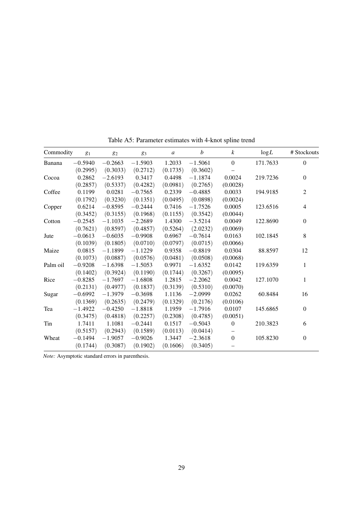| Commodity | $g_1$     | 82        | 83        | $\boldsymbol{a}$ | $\boldsymbol{b}$ | $\boldsymbol{k}$ | log L    | # Stockouts    |
|-----------|-----------|-----------|-----------|------------------|------------------|------------------|----------|----------------|
| Banana    | $-0.5940$ | $-0.2663$ | $-1.5903$ | 1.2033           | $-1.5061$        | $\mathbf{0}$     | 171.7633 | $\Omega$       |
|           | (0.2995)  | (0.3033)  | (0.2712)  | (0.1735)         | (0.3602)         |                  |          |                |
| Cocoa     | 0.2862    | $-2.6193$ | 0.3417    | 0.4498           | $-1.1874$        | 0.0024           | 219.7236 | $\Omega$       |
|           | (0.2857)  | (0.5337)  | (0.4282)  | (0.0981)         | (0.2765)         | (0.0028)         |          |                |
| Coffee    | 0.1199    | 0.0281    | $-0.7565$ | 0.2339           | $-0.4885$        | 0.0033           | 194.9185 | $\overline{c}$ |
|           | (0.1792)  | (0.3230)  | (0.1351)  | (0.0495)         | (0.0898)         | (0.0024)         |          |                |
| Copper    | 0.6214    | $-0.8595$ | $-0.2444$ | 0.7416           | $-1.7526$        | 0.0005           | 123.6516 | $\overline{4}$ |
|           | (0.3452)  | (0.3155)  | (0.1968)  | (0.1155)         | (0.3542)         | (0.0044)         |          |                |
| Cotton    | $-0.2545$ | $-1.1035$ | $-2.2689$ | 1.4300           | $-3.5214$        | 0.0049           | 122.8690 | $\Omega$       |
|           | (0.7621)  | (0.8597)  | (0.4857)  | (0.5264)         | (2.0232)         | (0.0069)         |          |                |
| Jute      | $-0.0613$ | $-0.6035$ | $-0.9908$ | 0.6967           | $-0.7614$        | 0.0163           | 102.1845 | 8              |
|           | (0.1039)  | (0.1805)  | (0.0710)  | (0.0797)         | (0.0715)         | (0.0066)         |          |                |
| Maize     | 0.0815    | $-1.1899$ | $-1.1229$ | 0.9358           | $-0.8819$        | 0.0304           | 88.8597  | 12             |
|           | (0.1073)  | (0.0887)  | (0.0576)  | (0.0481)         | (0.0508)         | (0.0068)         |          |                |
| Palm oil  | $-0.9208$ | $-1.6398$ | $-1.5053$ | 0.9971           | $-1.6352$        | 0.0142           | 119.6359 | 1              |
|           | (0.1402)  | (0.3924)  | (0.1190)  | (0.1744)         | (0.3267)         | (0.0095)         |          |                |
| Rice      | $-0.8285$ | $-1.7697$ | $-1.6808$ | 1.2815           | $-2.2062$        | 0.0042           | 127.1070 | 1              |
|           | (0.2131)  | (0.4977)  | (0.1837)  | (0.3139)         | (0.5310)         | (0.0070)         |          |                |
| Sugar     | $-0.6992$ | $-1.3979$ | $-0.3698$ | 1.1136           | $-2.0999$        | 0.0262           | 60.8484  | 16             |
|           | (0.1369)  | (0.2635)  | (0.2479)  | (0.1329)         | (0.2176)         | (0.0106)         |          |                |
| Tea       | $-1.4922$ | $-0.4250$ | $-1.8818$ | 1.1959           | $-1.7916$        | 0.0107           | 145.6865 | $\Omega$       |
|           | (0.3475)  | (0.4818)  | (0.2257)  | (0.2308)         | (0.4785)         | (0.0051)         |          |                |
| Tin       | 1.7411    | 1.1081    | $-0.2441$ | 0.1517           | $-0.5043$        | $\mathbf{0}$     | 210.3823 | 6              |
|           | (0.5157)  | (0.2943)  | (0.1589)  | (0.0113)         | (0.0414)         |                  |          |                |
| Wheat     | $-0.1494$ | $-1.9057$ | $-0.9026$ | 1.3447           | $-2.3618$        | $\mathbf{0}$     | 105.8230 | $\theta$       |
|           | (0.1744)  | (0.3087)  | (0.1902)  | (0.1606)         | (0.3405)         |                  |          |                |

Table A5: Parameter estimates with 4-knot spline trend

*Note:* Asymptotic standard errors in parenthesis.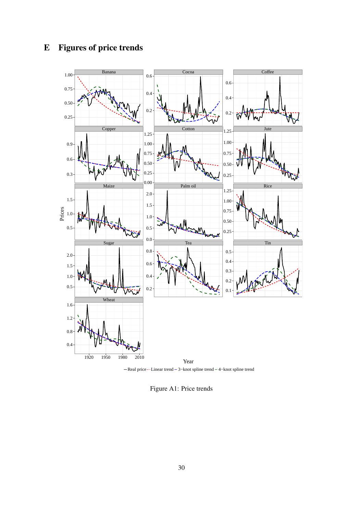

-Real price - Linear trend - 3-knot spline trend - 4-knot spline trend

Figure A1: Price trends